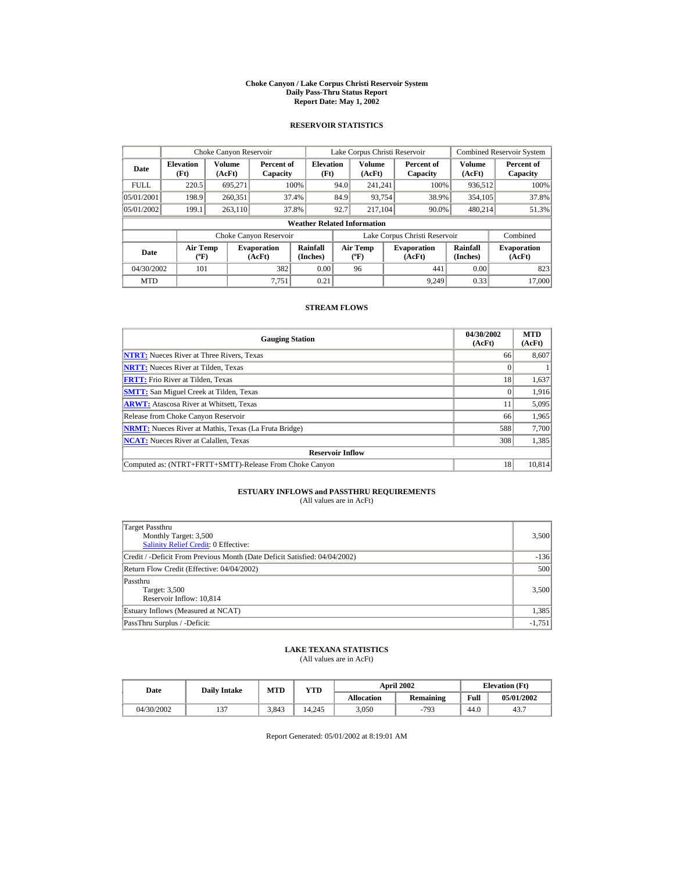#### **Choke Canyon / Lake Corpus Christi Reservoir System Daily Pass-Thru Status Report Report Date: May 1, 2002**

## **RESERVOIR STATISTICS**

|             | Choke Canyon Reservoir                      |                         |                              |                          |      | Lake Corpus Christi Reservoir                    |  |                               |                         | <b>Combined Reservoir System</b> |  |  |
|-------------|---------------------------------------------|-------------------------|------------------------------|--------------------------|------|--------------------------------------------------|--|-------------------------------|-------------------------|----------------------------------|--|--|
| Date        | <b>Elevation</b><br>(Ft)                    | <b>Volume</b><br>(AcFt) | Percent of<br>Capacity       | <b>Elevation</b><br>(Ft) |      | <b>Volume</b><br>(AcFt)                          |  | Percent of<br>Capacity        | <b>Volume</b><br>(AcFt) | Percent of<br>Capacity           |  |  |
| <b>FULL</b> | 220.5                                       | 695.271                 |                              | 100%                     | 94.0 | 241.241                                          |  | 100%                          | 936,512                 | 100%                             |  |  |
| 05/01/2001  | 198.9                                       | 260,351                 |                              | 37.4%                    | 84.9 | 93,754                                           |  | 38.9%                         | 354,105                 | 37.8%                            |  |  |
| 05/01/2002  | 199.1                                       | 263,110                 |                              | 37.8%                    | 92.7 | 217.104                                          |  | 90.0%                         | 480.214                 | 51.3%                            |  |  |
|             | <b>Weather Related Information</b>          |                         |                              |                          |      |                                                  |  |                               |                         |                                  |  |  |
|             |                                             |                         | Choke Canyon Reservoir       |                          |      |                                                  |  | Lake Corpus Christi Reservoir |                         | Combined                         |  |  |
| Date        | <b>Air Temp</b><br>$({}^{\circ}\mathrm{F})$ |                         | <b>Evaporation</b><br>(AcFt) | Rainfall<br>(Inches)     |      | <b>Air Temp</b><br>$({}^{\mathrm{o}}\mathrm{F})$ |  | <b>Evaporation</b><br>(AcFt)  | Rainfall<br>(Inches)    | <b>Evaporation</b><br>(AcFt)     |  |  |
| 04/30/2002  | 101                                         |                         | 382                          | 0.00                     |      | 96                                               |  | 441                           | 0.00                    | 823                              |  |  |
| <b>MTD</b>  |                                             |                         | 7.751                        | 0.21                     |      |                                                  |  | 9.249                         | 0.33                    | 17,000                           |  |  |

## **STREAM FLOWS**

| <b>Gauging Station</b>                                       | 04/30/2002<br>(AcFt) | <b>MTD</b><br>(AcFt) |
|--------------------------------------------------------------|----------------------|----------------------|
| <b>NTRT:</b> Nueces River at Three Rivers, Texas             | 66                   | 8,607                |
| <b>NRTT:</b> Nueces River at Tilden, Texas                   |                      |                      |
| <b>FRTT:</b> Frio River at Tilden, Texas                     | 18                   | 1,637                |
| <b>SMTT:</b> San Miguel Creek at Tilden, Texas               | 0                    | 1,916                |
| <b>ARWT:</b> Atascosa River at Whitsett, Texas               | 11                   | 5,095                |
| Release from Choke Canyon Reservoir                          | 66                   | 1,965                |
| <b>NRMT:</b> Nueces River at Mathis, Texas (La Fruta Bridge) | 588                  | 7,700                |
| <b>NCAT:</b> Nueces River at Calallen, Texas                 | 308                  | 1,385                |
| <b>Reservoir Inflow</b>                                      |                      |                      |
| Computed as: (NTRT+FRTT+SMTT)-Release From Choke Canyon      | 18                   | 10,814               |

# **ESTUARY INFLOWS and PASSTHRU REQUIREMENTS**<br>(All values are in AcFt)

| Target Passthru<br>Monthly Target: 3,500<br>Salinity Relief Credit: 0 Effective: | 3,500    |
|----------------------------------------------------------------------------------|----------|
| Credit / -Deficit From Previous Month (Date Deficit Satisfied: 04/04/2002)       | $-136$   |
| Return Flow Credit (Effective: 04/04/2002)                                       | 500      |
| Passthru<br>Target: 3,500<br>Reservoir Inflow: 10,814                            | 3,500    |
| Estuary Inflows (Measured at NCAT)                                               | 1,385    |
| PassThru Surplus / -Deficit:                                                     | $-1.751$ |

## **LAKE TEXANA STATISTICS**

(All values are in AcFt)

| Date       | <b>Daily Intake</b> | <b>MTD</b> | YTD    |                   | <b>April 2002</b> | <b>Elevation</b> (Ft) |            |
|------------|---------------------|------------|--------|-------------------|-------------------|-----------------------|------------|
|            |                     |            |        | <b>Allocation</b> | Remaining         | Full                  | 05/01/2002 |
| 04/30/2002 | $\sim$              | 3.843      | 14.245 | 3.050             | $-793$            | 44.0                  | 43.7       |

Report Generated: 05/01/2002 at 8:19:01 AM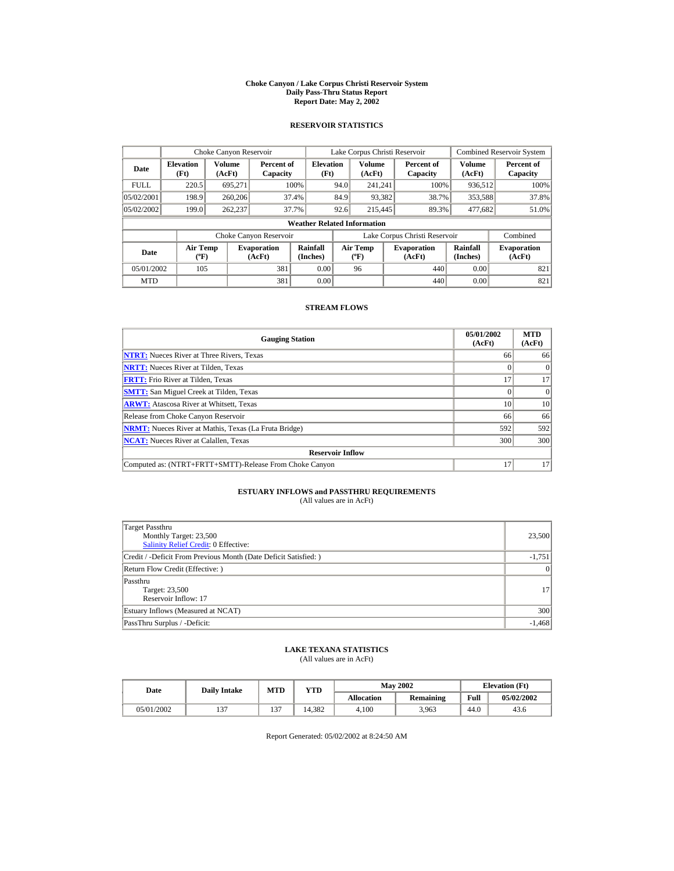#### **Choke Canyon / Lake Corpus Christi Reservoir System Daily Pass-Thru Status Report Report Date: May 2, 2002**

## **RESERVOIR STATISTICS**

|             | Choke Canyon Reservoir                      |                         |                              |                          | Lake Corpus Christi Reservoir             |                  |  |                               |                      | <b>Combined Reservoir System</b> |  |  |
|-------------|---------------------------------------------|-------------------------|------------------------------|--------------------------|-------------------------------------------|------------------|--|-------------------------------|----------------------|----------------------------------|--|--|
| Date        | <b>Elevation</b><br>(Ft)                    | <b>Volume</b><br>(AcFt) | Percent of<br>Capacity       | <b>Elevation</b><br>(Ft) |                                           | Volume<br>(AcFt) |  | Percent of<br>Capacity        | Volume<br>(AcFt)     | Percent of<br>Capacity           |  |  |
| <b>FULL</b> | 220.5                                       | 695.271                 |                              | 100%                     | 94.0                                      | 241.241          |  | 100%                          | 936,512              | 100%                             |  |  |
| 05/02/2001  | 198.9                                       | 260,206                 |                              | 37.4%                    | 84.9                                      | 93,382           |  | 38.7%                         | 353,588              | 37.8%                            |  |  |
| 05/02/2002  | 199.0                                       | 262,237                 |                              | 37.7%                    | 92.6                                      | 215,445          |  | 89.3%                         | 477.682              | 51.0%                            |  |  |
|             | <b>Weather Related Information</b>          |                         |                              |                          |                                           |                  |  |                               |                      |                                  |  |  |
|             |                                             |                         | Choke Canyon Reservoir       |                          |                                           |                  |  | Lake Corpus Christi Reservoir |                      | Combined                         |  |  |
| Date        | <b>Air Temp</b><br>$({}^{\circ}\mathrm{F})$ |                         | <b>Evaporation</b><br>(AcFt) | Rainfall<br>(Inches)     | <b>Air Temp</b><br>$({}^{\circ}\text{F})$ |                  |  | <b>Evaporation</b><br>(AcFt)  | Rainfall<br>(Inches) | <b>Evaporation</b><br>(AcFt)     |  |  |
| 05/01/2002  | 105                                         |                         | 381                          | 0.00                     |                                           | 96               |  | 440                           | 0.00                 | 821                              |  |  |
| <b>MTD</b>  |                                             |                         | 381                          | 0.00                     |                                           |                  |  | 440                           | 0.00                 | 821                              |  |  |

## **STREAM FLOWS**

| <b>Gauging Station</b>                                       | 05/01/2002<br>(AcFt) | <b>MTD</b><br>(AcFt) |
|--------------------------------------------------------------|----------------------|----------------------|
| <b>NTRT:</b> Nueces River at Three Rivers, Texas             | 66                   | 66                   |
| <b>NRTT:</b> Nueces River at Tilden, Texas                   |                      | $\Omega$             |
| <b>FRTT:</b> Frio River at Tilden, Texas                     | 17                   | 17                   |
| <b>SMTT:</b> San Miguel Creek at Tilden, Texas               |                      | $\Omega$             |
| <b>ARWT:</b> Atascosa River at Whitsett, Texas               | 10                   | 10                   |
| Release from Choke Canyon Reservoir                          | 66                   | 66                   |
| <b>NRMT:</b> Nueces River at Mathis, Texas (La Fruta Bridge) | 592                  | 592                  |
| <b>NCAT:</b> Nueces River at Calallen, Texas                 | 300                  | 300                  |
| <b>Reservoir Inflow</b>                                      |                      |                      |
| Computed as: (NTRT+FRTT+SMTT)-Release From Choke Canyon      | 17                   | 17                   |

# **ESTUARY INFLOWS and PASSTHRU REQUIREMENTS**<br>(All values are in AcFt)

| Target Passthru<br>Monthly Target: 23,500<br><b>Salinity Relief Credit: 0 Effective:</b> | 23,500          |
|------------------------------------------------------------------------------------------|-----------------|
| Credit / -Deficit From Previous Month (Date Deficit Satisfied:)                          | $-1,751$        |
| Return Flow Credit (Effective: )                                                         | $\vert 0 \vert$ |
| Passthru<br>Target: 23,500<br>Reservoir Inflow: 17                                       | 17              |
| Estuary Inflows (Measured at NCAT)                                                       | 300             |
| PassThru Surplus / -Deficit:                                                             | $-1,468$        |

## **LAKE TEXANA STATISTICS**

(All values are in AcFt)

| Date       | <b>Daily Intake</b> | <b>MTD</b>    | YTD    |                   | <b>May 2002</b> | <b>Elevation</b> (Ft) |            |
|------------|---------------------|---------------|--------|-------------------|-----------------|-----------------------|------------|
|            |                     |               |        | <b>Allocation</b> | Remaining       | Full                  | 05/02/2002 |
| 05/01/2002 | $\sim$              | $\sim$<br>13' | 14.382 | 4.100             | 3.963           | 44.0                  | 43.6       |

Report Generated: 05/02/2002 at 8:24:50 AM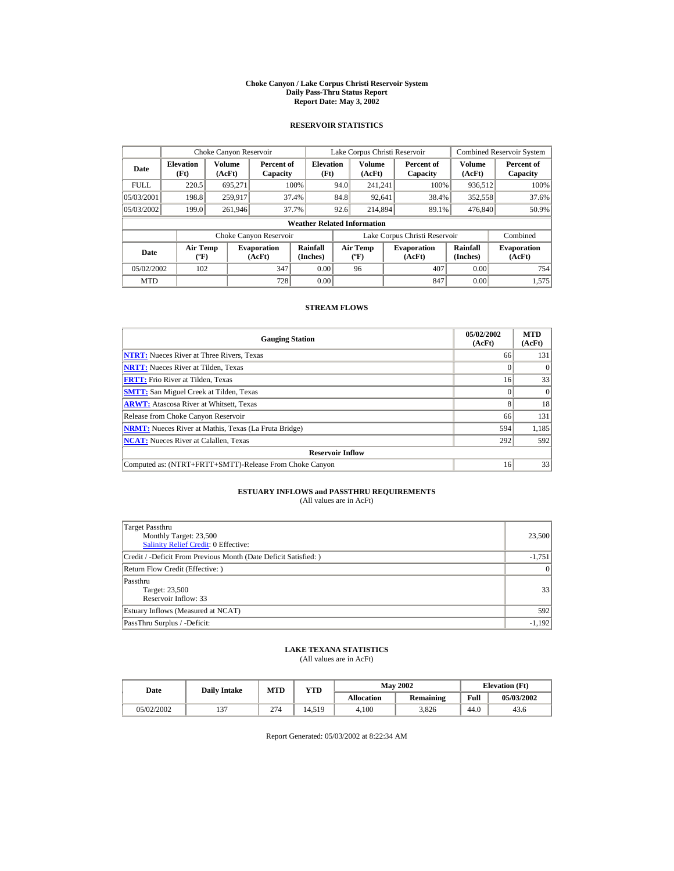#### **Choke Canyon / Lake Corpus Christi Reservoir System Daily Pass-Thru Status Report Report Date: May 3, 2002**

## **RESERVOIR STATISTICS**

|             | Choke Canyon Reservoir                      |                  |                              |                          | Lake Corpus Christi Reservoir |                                             |  |                               |                      | <b>Combined Reservoir System</b> |  |  |
|-------------|---------------------------------------------|------------------|------------------------------|--------------------------|-------------------------------|---------------------------------------------|--|-------------------------------|----------------------|----------------------------------|--|--|
| Date        | <b>Elevation</b><br>(Ft)                    | Volume<br>(AcFt) | Percent of<br>Capacity       | <b>Elevation</b><br>(Ft) |                               | Volume<br>(AcFt)                            |  | Percent of<br>Capacity        | Volume<br>(AcFt)     | Percent of<br>Capacity           |  |  |
| <b>FULL</b> | 220.5                                       | 695.271          |                              | 100%                     | 94.0                          | 241.241                                     |  | 100%                          | 936,512              | 100%                             |  |  |
| 05/03/2001  | 198.8                                       | 259.917          |                              | 37.4%                    | 84.8                          | 92,641                                      |  | 38.4%                         | 352,558              | 37.6%                            |  |  |
| 05/03/2002  | 199.0                                       | 261.946          |                              | 37.7%                    | 92.6                          | 214,894                                     |  | 89.1%                         | 476,840              | 50.9%                            |  |  |
|             | <b>Weather Related Information</b>          |                  |                              |                          |                               |                                             |  |                               |                      |                                  |  |  |
|             |                                             |                  | Choke Canyon Reservoir       |                          |                               |                                             |  | Lake Corpus Christi Reservoir |                      | Combined                         |  |  |
| Date        | <b>Air Temp</b><br>$({}^{\circ}\mathrm{F})$ |                  | <b>Evaporation</b><br>(AcFt) | Rainfall<br>(Inches)     |                               | <b>Air Temp</b><br>$({}^{\circ}\mathbf{F})$ |  | <b>Evaporation</b><br>(AcFt)  | Rainfall<br>(Inches) | <b>Evaporation</b><br>(AcFt)     |  |  |
| 05/02/2002  | 102                                         |                  | 347                          | 0.00                     |                               | 96                                          |  | 407                           | 0.00                 | 754                              |  |  |
| <b>MTD</b>  |                                             |                  | 728                          | 0.00                     |                               |                                             |  | 847                           | 0.00                 | 1.575                            |  |  |

## **STREAM FLOWS**

| <b>Gauging Station</b>                                       | 05/02/2002<br>(AcFt) | <b>MTD</b><br>(AcFt) |
|--------------------------------------------------------------|----------------------|----------------------|
| <b>NTRT:</b> Nueces River at Three Rivers, Texas             | 66                   | 131                  |
| <b>NRTT:</b> Nueces River at Tilden, Texas                   |                      | $\Omega$             |
| <b>FRTT:</b> Frio River at Tilden, Texas                     | 16                   | 33                   |
| <b>SMTT:</b> San Miguel Creek at Tilden, Texas               |                      | $\Omega$             |
| <b>ARWT:</b> Atascosa River at Whitsett, Texas               | 8                    | 18                   |
| Release from Choke Canyon Reservoir                          | 66                   | 131                  |
| <b>NRMT:</b> Nueces River at Mathis, Texas (La Fruta Bridge) | 594                  | 1,185                |
| <b>NCAT:</b> Nueces River at Calallen, Texas                 | 292                  | 592                  |
| <b>Reservoir Inflow</b>                                      |                      |                      |
| Computed as: (NTRT+FRTT+SMTT)-Release From Choke Canyon      | 16                   | 33                   |

# **ESTUARY INFLOWS and PASSTHRU REQUIREMENTS**<br>(All values are in AcFt)

| Target Passthru<br>Monthly Target: 23,500<br>Salinity Relief Credit: 0 Effective: | 23,500          |
|-----------------------------------------------------------------------------------|-----------------|
| Credit / -Deficit From Previous Month (Date Deficit Satisfied:)                   | $-1,751$        |
| Return Flow Credit (Effective: )                                                  | $\vert 0 \vert$ |
| Passthru<br>Target: 23,500<br>Reservoir Inflow: 33                                | 33              |
| Estuary Inflows (Measured at NCAT)                                                | 592             |
| PassThru Surplus / -Deficit:                                                      | $-1,192$        |

## **LAKE TEXANA STATISTICS**

(All values are in AcFt)

| Date       | <b>Daily Intake</b> | <b>MTD</b> | YTD   |                   | <b>May 2002</b> | <b>Elevation</b> (Ft) |            |
|------------|---------------------|------------|-------|-------------------|-----------------|-----------------------|------------|
|            |                     |            |       | <b>Allocation</b> | Remaining       | Full                  | 05/03/2002 |
| 05/02/2002 | $\sim$              | 274        | 4.519 | 4.100             | 3.826           | 44.0                  | 43.6       |

Report Generated: 05/03/2002 at 8:22:34 AM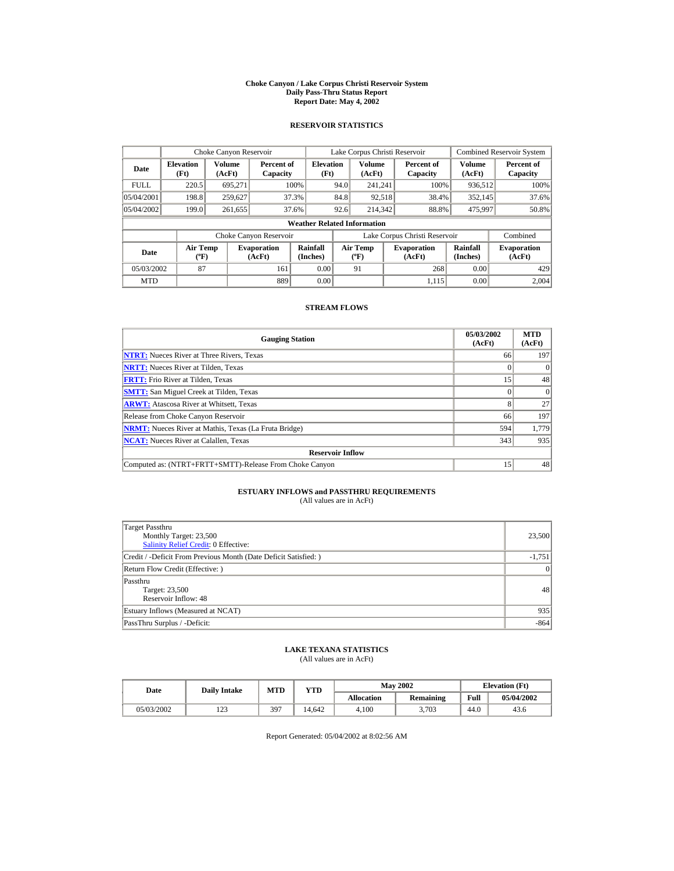#### **Choke Canyon / Lake Corpus Christi Reservoir System Daily Pass-Thru Status Report Report Date: May 4, 2002**

## **RESERVOIR STATISTICS**

|             | Choke Canyon Reservoir                |                  |                              |                          | Lake Corpus Christi Reservoir |                                   |  |                               |                         | <b>Combined Reservoir System</b> |  |  |
|-------------|---------------------------------------|------------------|------------------------------|--------------------------|-------------------------------|-----------------------------------|--|-------------------------------|-------------------------|----------------------------------|--|--|
| Date        | <b>Elevation</b><br>(Ft)              | Volume<br>(AcFt) | Percent of<br>Capacity       | <b>Elevation</b><br>(Ft) |                               | <b>Volume</b><br>(AcFt)           |  | Percent of<br>Capacity        | <b>Volume</b><br>(AcFt) | Percent of<br>Capacity           |  |  |
| <b>FULL</b> | 220.5                                 | 695.271          |                              | 100%                     | 94.0                          | 241.241                           |  | 100%                          | 936,512                 | 100%                             |  |  |
| 05/04/2001  | 198.8                                 | 259,627          |                              | 37.3%                    | 84.8                          | 92,518                            |  | 38.4%                         | 352,145                 | 37.6%                            |  |  |
| 05/04/2002  | 199.0                                 | 261.655          |                              | 37.6%                    | 92.6                          | 214,342                           |  | 88.8%                         | 475,997                 | 50.8%                            |  |  |
|             | <b>Weather Related Information</b>    |                  |                              |                          |                               |                                   |  |                               |                         |                                  |  |  |
|             |                                       |                  | Choke Canyon Reservoir       |                          |                               |                                   |  | Lake Corpus Christi Reservoir |                         | Combined                         |  |  |
| Date        | <b>Air Temp</b><br>$({}^o\mathrm{F})$ |                  | <b>Evaporation</b><br>(AcFt) | Rainfall<br>(Inches)     |                               | Air Temp<br>$({}^{\circ}{\rm F})$ |  | <b>Evaporation</b><br>(AcFt)  | Rainfall<br>(Inches)    | <b>Evaporation</b><br>(AcFt)     |  |  |
| 05/03/2002  | 87                                    |                  | 161                          | 0.00                     |                               | 91                                |  | 268                           | 0.00                    | 429                              |  |  |
| <b>MTD</b>  |                                       |                  | 889                          | 0.00                     |                               |                                   |  | 1.115                         | 0.00                    | 2.004                            |  |  |

## **STREAM FLOWS**

| <b>Gauging Station</b>                                       | 05/03/2002<br>(AcFt) | <b>MTD</b><br>(AcFt) |
|--------------------------------------------------------------|----------------------|----------------------|
| <b>NTRT:</b> Nueces River at Three Rivers, Texas             | 66                   | 197                  |
| <b>NRTT:</b> Nueces River at Tilden, Texas                   |                      |                      |
| <b>FRTT:</b> Frio River at Tilden. Texas                     | 15                   | 48                   |
| <b>SMTT:</b> San Miguel Creek at Tilden, Texas               |                      | $\Omega$             |
| <b>ARWT:</b> Atascosa River at Whitsett, Texas               |                      | 27                   |
| Release from Choke Canyon Reservoir                          | 66                   | 197                  |
| <b>NRMT:</b> Nueces River at Mathis, Texas (La Fruta Bridge) | 594                  | 1,779                |
| <b>NCAT:</b> Nueces River at Calallen, Texas                 | 343                  | 935                  |
| <b>Reservoir Inflow</b>                                      |                      |                      |
| Computed as: (NTRT+FRTT+SMTT)-Release From Choke Canyon      | 15                   | 48                   |

# **ESTUARY INFLOWS and PASSTHRU REQUIREMENTS**<br>(All values are in AcFt)

| Target Passthru<br>Monthly Target: 23,500<br>Salinity Relief Credit: 0 Effective: | 23,500          |
|-----------------------------------------------------------------------------------|-----------------|
| Credit / -Deficit From Previous Month (Date Deficit Satisfied:)                   | $-1,751$        |
| Return Flow Credit (Effective: )                                                  | $\vert 0 \vert$ |
| Passthru<br>Target: 23,500<br>Reservoir Inflow: 48                                | 48              |
| Estuary Inflows (Measured at NCAT)                                                | 935             |
| PassThru Surplus / -Deficit:                                                      | $-864$          |

## **LAKE TEXANA STATISTICS**

(All values are in AcFt)

| Date       | <b>Daily Intake</b> | <b>MTD</b> | YTD   |                   | <b>May 2002</b> | <b>Elevation</b> (Ft) |            |
|------------|---------------------|------------|-------|-------------------|-----------------|-----------------------|------------|
|            |                     |            |       | <b>Allocation</b> | Remaining       | Full                  | 05/04/2002 |
| 05/03/2002 | ר הו<br>رے 1        | 397        | 4.642 | 4.100             | 3.703           | 44.0                  | 43.6       |

Report Generated: 05/04/2002 at 8:02:56 AM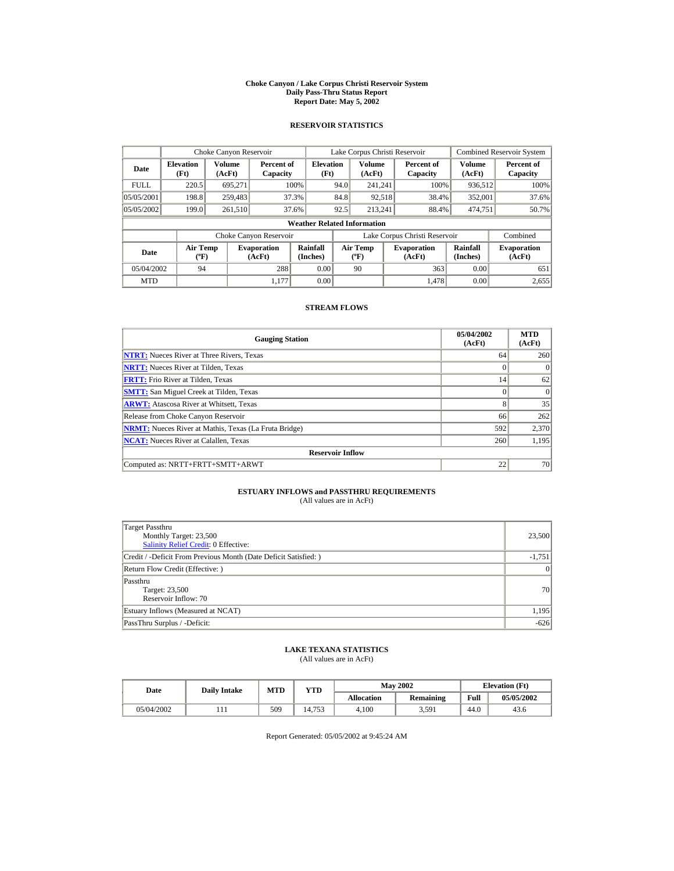#### **Choke Canyon / Lake Corpus Christi Reservoir System Daily Pass-Thru Status Report Report Date: May 5, 2002**

## **RESERVOIR STATISTICS**

|             | Choke Canyon Reservoir                |                  |                              |                          | Lake Corpus Christi Reservoir |                                   |  |                               |                         | <b>Combined Reservoir System</b> |  |  |
|-------------|---------------------------------------|------------------|------------------------------|--------------------------|-------------------------------|-----------------------------------|--|-------------------------------|-------------------------|----------------------------------|--|--|
| Date        | <b>Elevation</b><br>(Ft)              | Volume<br>(AcFt) | Percent of<br>Capacity       | <b>Elevation</b><br>(Ft) |                               | <b>Volume</b><br>(AcFt)           |  | Percent of<br>Capacity        | <b>Volume</b><br>(AcFt) | Percent of<br>Capacity           |  |  |
| <b>FULL</b> | 220.5                                 | 695,271          |                              | 100%                     | 94.0                          | 241.241                           |  | 100%                          | 936,512                 | 100%                             |  |  |
| 05/05/2001  | 198.8                                 | 259,483          |                              | 37.3%                    | 84.8                          | 92,518                            |  | 38.4%                         | 352,001                 | 37.6%                            |  |  |
| 05/05/2002  | 199.0                                 | 261,510          |                              | 37.6%                    | 92.5                          | 213.241                           |  | 88.4%                         | 474,751                 | 50.7%                            |  |  |
|             | <b>Weather Related Information</b>    |                  |                              |                          |                               |                                   |  |                               |                         |                                  |  |  |
|             |                                       |                  | Choke Canyon Reservoir       |                          |                               |                                   |  | Lake Corpus Christi Reservoir |                         | Combined                         |  |  |
| Date        | <b>Air Temp</b><br>$({}^o\mathrm{F})$ |                  | <b>Evaporation</b><br>(AcFt) | Rainfall<br>(Inches)     |                               | Air Temp<br>$({}^{\circ}{\rm F})$ |  | <b>Evaporation</b><br>(AcFt)  | Rainfall<br>(Inches)    | <b>Evaporation</b><br>(AcFt)     |  |  |
| 05/04/2002  | 94                                    |                  | 288                          | 0.00                     |                               | 90                                |  | 363                           | 0.00                    | 651                              |  |  |
| <b>MTD</b>  |                                       |                  | 1.177                        | 0.00                     |                               |                                   |  | 1.478                         | 0.00                    | 2,655                            |  |  |

## **STREAM FLOWS**

| <b>Gauging Station</b>                                       | 05/04/2002<br>(AcFt) | <b>MTD</b><br>(AcFt) |
|--------------------------------------------------------------|----------------------|----------------------|
| <b>NTRT:</b> Nueces River at Three Rivers, Texas             | 64                   | 260                  |
| <b>NRTT:</b> Nueces River at Tilden, Texas                   |                      |                      |
| <b>FRTT:</b> Frio River at Tilden. Texas                     | 14                   | 62                   |
| <b>SMTT:</b> San Miguel Creek at Tilden, Texas               |                      | $\Omega$             |
| <b>ARWT:</b> Atascosa River at Whitsett, Texas               | 8                    | 35                   |
| Release from Choke Canyon Reservoir                          | 66                   | 262                  |
| <b>NRMT:</b> Nueces River at Mathis, Texas (La Fruta Bridge) | 592                  | 2,370                |
| <b>NCAT:</b> Nueces River at Calallen, Texas                 | 260                  | 1.195                |
| <b>Reservoir Inflow</b>                                      |                      |                      |
| Computed as: NRTT+FRTT+SMTT+ARWT                             | 22                   | 70                   |

# **ESTUARY INFLOWS and PASSTHRU REQUIREMENTS**<br>(All values are in AcFt)

| Target Passthru<br>Monthly Target: 23,500<br><b>Salinity Relief Credit: 0 Effective:</b> | 23,500          |
|------------------------------------------------------------------------------------------|-----------------|
| Credit / -Deficit From Previous Month (Date Deficit Satisfied: )                         | $-1,751$        |
| Return Flow Credit (Effective: )                                                         | $\vert 0 \vert$ |
| Passthru<br>Target: 23,500<br>Reservoir Inflow: 70                                       | 70              |
| Estuary Inflows (Measured at NCAT)                                                       | 1,195           |
| PassThru Surplus / -Deficit:                                                             | $-626$          |

## **LAKE TEXANA STATISTICS**

(All values are in AcFt)

| Date       | <b>Daily Intake</b> | MTD | $_{\rm VTD}$ |            | <b>May 2002</b> |      | <b>Elevation</b> (Ft) |
|------------|---------------------|-----|--------------|------------|-----------------|------|-----------------------|
|            |                     |     |              | Allocation | Remaining       | Full | 05/05/2002            |
| 05/04/2002 |                     | 509 | 14.753       | 4.100      | 3,591           | 44.0 | 43.6                  |

Report Generated: 05/05/2002 at 9:45:24 AM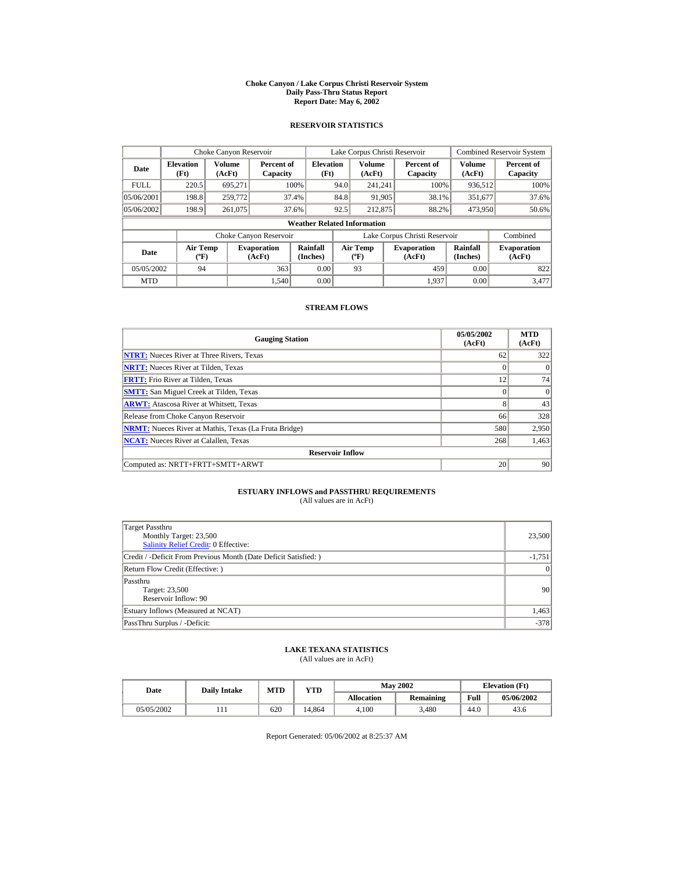#### **Choke Canyon / Lake Corpus Christi Reservoir System Daily Pass-Thru Status Report Report Date: May 6, 2002**

## **RESERVOIR STATISTICS**

|             | Choke Canyon Reservoir                |                  |                              |                          | Lake Corpus Christi Reservoir |                                   |  |                               |                         | <b>Combined Reservoir System</b> |  |  |
|-------------|---------------------------------------|------------------|------------------------------|--------------------------|-------------------------------|-----------------------------------|--|-------------------------------|-------------------------|----------------------------------|--|--|
| Date        | <b>Elevation</b><br>(Ft)              | Volume<br>(AcFt) | Percent of<br>Capacity       | <b>Elevation</b><br>(Ft) |                               | <b>Volume</b><br>(AcFt)           |  | Percent of<br>Capacity        | <b>Volume</b><br>(AcFt) | Percent of<br>Capacity           |  |  |
| <b>FULL</b> | 220.5                                 | 695.271          |                              | 100%                     | 94.0                          | 241.241                           |  | 100%                          | 936,512                 | 100%                             |  |  |
| 05/06/2001  | 198.8                                 | 259,772          |                              | 37.4%                    | 84.8                          | 91,905                            |  | 38.1%                         | 351,677                 | 37.6%                            |  |  |
| 05/06/2002  | 198.9                                 | 261,075          |                              | 37.6%                    | 92.5                          | 212,875                           |  | 88.2%                         | 473.950                 | 50.6%                            |  |  |
|             | <b>Weather Related Information</b>    |                  |                              |                          |                               |                                   |  |                               |                         |                                  |  |  |
|             |                                       |                  | Choke Canyon Reservoir       |                          |                               |                                   |  | Lake Corpus Christi Reservoir |                         | Combined                         |  |  |
| Date        | <b>Air Temp</b><br>$({}^o\mathrm{F})$ |                  | <b>Evaporation</b><br>(AcFt) | Rainfall<br>(Inches)     |                               | Air Temp<br>$({}^{\circ}{\rm F})$ |  | <b>Evaporation</b><br>(AcFt)  | Rainfall<br>(Inches)    | <b>Evaporation</b><br>(AcFt)     |  |  |
| 05/05/2002  | 94                                    |                  | 363                          | 0.00                     |                               | 93                                |  | 459                           | 0.00                    | 822                              |  |  |
| <b>MTD</b>  |                                       |                  | 1.540                        | 0.00                     |                               |                                   |  | 1.937                         | 0.00                    | 3.477                            |  |  |

## **STREAM FLOWS**

| <b>Gauging Station</b>                                       | 05/05/2002<br>(AcFt) | <b>MTD</b><br>(AcFt) |
|--------------------------------------------------------------|----------------------|----------------------|
| <b>NTRT:</b> Nueces River at Three Rivers, Texas             | 62                   | 322                  |
| <b>NRTT:</b> Nueces River at Tilden, Texas                   |                      | $\Omega$             |
| <b>FRTT:</b> Frio River at Tilden, Texas                     | 12                   | 74                   |
| <b>SMTT:</b> San Miguel Creek at Tilden, Texas               |                      | $\Omega$             |
| <b>ARWT:</b> Atascosa River at Whitsett, Texas               | 8                    | 43                   |
| Release from Choke Canyon Reservoir                          | 66                   | 328                  |
| <b>NRMT:</b> Nueces River at Mathis, Texas (La Fruta Bridge) | 580                  | 2,950                |
| <b>NCAT:</b> Nueces River at Calallen, Texas                 | 268                  | 1,463                |
| <b>Reservoir Inflow</b>                                      |                      |                      |
| Computed as: NRTT+FRTT+SMTT+ARWT                             | 20                   | 90                   |

# **ESTUARY INFLOWS and PASSTHRU REQUIREMENTS**<br>(All values are in AcFt)

| Target Passthru<br>Monthly Target: 23,500<br>Salinity Relief Credit: 0 Effective: | 23,500          |
|-----------------------------------------------------------------------------------|-----------------|
| Credit / -Deficit From Previous Month (Date Deficit Satisfied: )                  | $-1,751$        |
| Return Flow Credit (Effective: )                                                  | $\vert 0 \vert$ |
| Passthru<br>Target: 23,500<br>Reservoir Inflow: 90                                | 90 <sup>°</sup> |
| Estuary Inflows (Measured at NCAT)                                                | 1,463           |
| PassThru Surplus / -Deficit:                                                      | $-378$          |

## **LAKE TEXANA STATISTICS**

(All values are in AcFt)

| Date       | <b>Daily Intake</b> | <b>MTD</b> | YTD   |                   | <b>May 2002</b> | <b>Elevation</b> (Ft) |            |
|------------|---------------------|------------|-------|-------------------|-----------------|-----------------------|------------|
|            |                     |            |       | <b>Allocation</b> | Remaining       | Full                  | 05/06/2002 |
| 05/05/2002 |                     | 620        | 4.864 | 4.100             | 3.480           | 44.0                  | 43.6       |

Report Generated: 05/06/2002 at 8:25:37 AM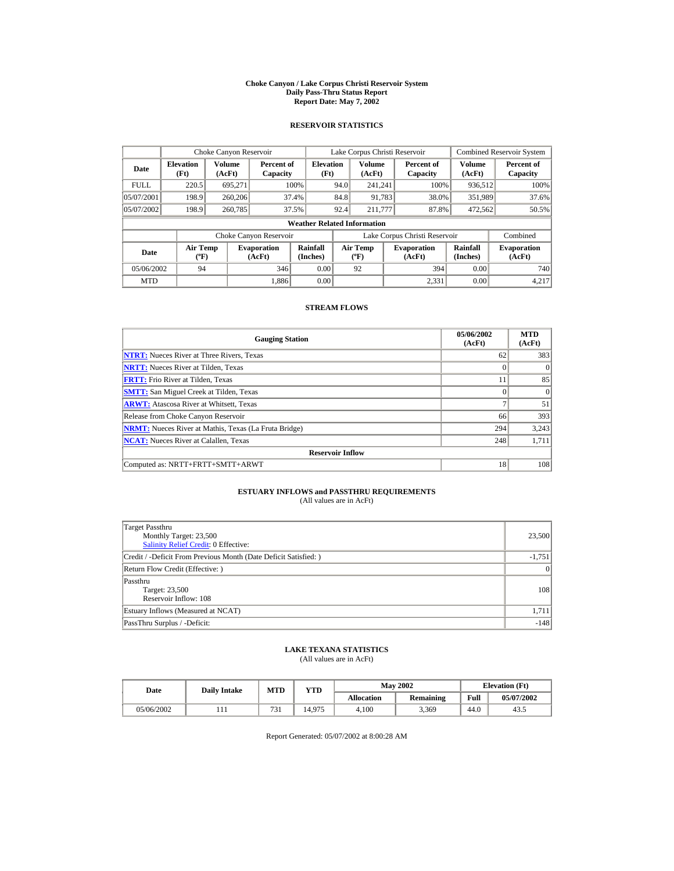#### **Choke Canyon / Lake Corpus Christi Reservoir System Daily Pass-Thru Status Report Report Date: May 7, 2002**

## **RESERVOIR STATISTICS**

|             | Choke Canyon Reservoir                      |                  |                              |                          | Lake Corpus Christi Reservoir |                                           |  |                               |                      | <b>Combined Reservoir System</b> |  |  |
|-------------|---------------------------------------------|------------------|------------------------------|--------------------------|-------------------------------|-------------------------------------------|--|-------------------------------|----------------------|----------------------------------|--|--|
| Date        | <b>Elevation</b><br>(Ft)                    | Volume<br>(AcFt) | Percent of<br>Capacity       | <b>Elevation</b><br>(Ft) |                               | Volume<br>(AcFt)                          |  | Percent of<br>Capacity        | Volume<br>(AcFt)     | Percent of<br>Capacity           |  |  |
| <b>FULL</b> | 220.5                                       | 695.271          |                              | 100%                     | 94.0                          | 241.241                                   |  | 100%                          | 936,512              | 100%                             |  |  |
| 05/07/2001  | 198.9                                       | 260,206          |                              | 37.4%                    | 84.8                          | 91.783                                    |  | 38.0%                         | 351,989              | 37.6%                            |  |  |
| 05/07/2002  | 198.9                                       | 260,785          |                              | 37.5%                    | 92.4                          | 211,777                                   |  | 87.8%                         | 472.562              | 50.5%                            |  |  |
|             | <b>Weather Related Information</b>          |                  |                              |                          |                               |                                           |  |                               |                      |                                  |  |  |
|             |                                             |                  | Choke Canyon Reservoir       |                          |                               |                                           |  | Lake Corpus Christi Reservoir |                      | Combined                         |  |  |
| Date        | <b>Air Temp</b><br>$({}^{\circ}\mathrm{F})$ |                  | <b>Evaporation</b><br>(AcFt) | Rainfall<br>(Inches)     |                               | <b>Air Temp</b><br>$({}^{\circ}\text{F})$ |  | <b>Evaporation</b><br>(AcFt)  | Rainfall<br>(Inches) | <b>Evaporation</b><br>(AcFt)     |  |  |
| 05/06/2002  | 94                                          |                  | 346                          | 0.00                     |                               | 92                                        |  | 394                           | 0.00                 | 740                              |  |  |
| <b>MTD</b>  |                                             |                  | 1.886                        | 0.00                     |                               |                                           |  | 2.331                         | 0.00                 | 4.217                            |  |  |

## **STREAM FLOWS**

| <b>Gauging Station</b>                                       | 05/06/2002<br>(AcFt) | <b>MTD</b><br>(AcFt) |
|--------------------------------------------------------------|----------------------|----------------------|
| <b>NTRT:</b> Nueces River at Three Rivers, Texas             | 62                   | 383                  |
| <b>NRTT:</b> Nueces River at Tilden, Texas                   |                      |                      |
| <b>FRTT:</b> Frio River at Tilden, Texas                     | 11                   | 85                   |
| <b>SMTT:</b> San Miguel Creek at Tilden, Texas               |                      | $\Omega$             |
| <b>ARWT:</b> Atascosa River at Whitsett, Texas               | $\overline{ }$       | 51                   |
| Release from Choke Canyon Reservoir                          | 66                   | 393                  |
| <b>NRMT:</b> Nueces River at Mathis, Texas (La Fruta Bridge) | 294                  | 3,243                |
| <b>NCAT:</b> Nueces River at Calallen, Texas                 | 248                  | 1,711                |
| <b>Reservoir Inflow</b>                                      |                      |                      |
| Computed as: NRTT+FRTT+SMTT+ARWT                             | 18                   | 108                  |

# **ESTUARY INFLOWS and PASSTHRU REQUIREMENTS**<br>(All values are in AcFt)

| Target Passthru<br>Monthly Target: 23,500<br><b>Salinity Relief Credit: 0 Effective:</b> | 23,500          |
|------------------------------------------------------------------------------------------|-----------------|
| Credit / -Deficit From Previous Month (Date Deficit Satisfied: )                         | $-1,751$        |
| Return Flow Credit (Effective: )                                                         | $\vert 0 \vert$ |
| Passthru<br>Target: 23,500<br>Reservoir Inflow: 108                                      | 108             |
| Estuary Inflows (Measured at NCAT)                                                       | 1,711           |
| PassThru Surplus / -Deficit:                                                             | $-148$          |

## **LAKE TEXANA STATISTICS**

(All values are in AcFt)

| Date       | <b>Daily Intake</b> | <b>MTD</b>    | YTD    |                   | <b>May 2002</b> | <b>Elevation</b> (Ft) |            |
|------------|---------------------|---------------|--------|-------------------|-----------------|-----------------------|------------|
|            |                     |               |        | <b>Allocation</b> | Remaining       | Full                  | 05/07/2002 |
| 05/06/2002 |                     | $\sim$<br>D 1 | 14.975 | 4.100             | 3.369           | 44.0                  | 43.5       |

Report Generated: 05/07/2002 at 8:00:28 AM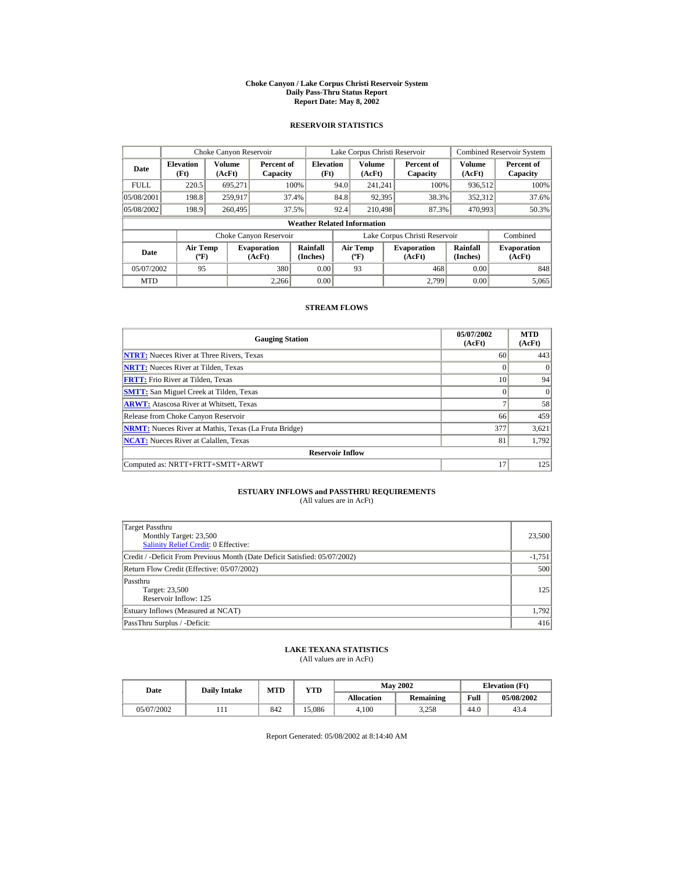#### **Choke Canyon / Lake Corpus Christi Reservoir System Daily Pass-Thru Status Report Report Date: May 8, 2002**

## **RESERVOIR STATISTICS**

|             | Choke Canyon Reservoir             |                  |                              |                          | Lake Corpus Christi Reservoir |                                   |  |                               |                         | <b>Combined Reservoir System</b> |  |  |
|-------------|------------------------------------|------------------|------------------------------|--------------------------|-------------------------------|-----------------------------------|--|-------------------------------|-------------------------|----------------------------------|--|--|
| Date        | <b>Elevation</b><br>(Ft)           | Volume<br>(AcFt) | Percent of<br>Capacity       | <b>Elevation</b><br>(Ft) |                               | <b>Volume</b><br>(AcFt)           |  | Percent of<br>Capacity        | <b>Volume</b><br>(AcFt) | Percent of<br>Capacity           |  |  |
| <b>FULL</b> | 220.5                              | 695,271          |                              | 100%                     | 94.0                          | 241.241                           |  | 100%                          | 936,512                 | 100%                             |  |  |
| 05/08/2001  | 198.8                              | 259.917          |                              | 37.4%                    | 84.8                          | 92,395                            |  | 38.3%                         | 352,312                 | 37.6%                            |  |  |
| 05/08/2002  | 198.9                              | 260,495          |                              | 37.5%                    | 92.4                          | 210,498                           |  | 87.3%                         | 470,993                 | 50.3%                            |  |  |
|             | <b>Weather Related Information</b> |                  |                              |                          |                               |                                   |  |                               |                         |                                  |  |  |
|             |                                    |                  | Choke Canyon Reservoir       |                          |                               |                                   |  | Lake Corpus Christi Reservoir |                         | Combined                         |  |  |
| Date        | Air Temp<br>$({}^o\mathrm{F})$     |                  | <b>Evaporation</b><br>(AcFt) | Rainfall<br>(Inches)     |                               | Air Temp<br>$({}^{\circ}{\rm F})$ |  | <b>Evaporation</b><br>(AcFt)  | Rainfall<br>(Inches)    | <b>Evaporation</b><br>(AcFt)     |  |  |
| 05/07/2002  | 95                                 |                  | 380                          | 0.00                     |                               | 93                                |  | 468                           | 0.00                    | 848                              |  |  |
| <b>MTD</b>  |                                    |                  | 2.266                        | 0.00                     |                               |                                   |  | 2.799                         | 0.00                    | 5,065                            |  |  |

## **STREAM FLOWS**

| <b>Gauging Station</b>                                       | 05/07/2002<br>(AcFt) | <b>MTD</b><br>(AcFt) |
|--------------------------------------------------------------|----------------------|----------------------|
| <b>NTRT:</b> Nueces River at Three Rivers, Texas             | 60                   | 443                  |
| <b>NRTT:</b> Nueces River at Tilden, Texas                   |                      |                      |
| <b>FRTT:</b> Frio River at Tilden, Texas                     | 10                   | 94                   |
| <b>SMTT:</b> San Miguel Creek at Tilden, Texas               |                      | $\Omega$             |
| <b>ARWT:</b> Atascosa River at Whitsett, Texas               | $\overline{ }$       | 58                   |
| Release from Choke Canyon Reservoir                          | 66                   | 459                  |
| <b>NRMT:</b> Nueces River at Mathis, Texas (La Fruta Bridge) | 377                  | 3,621                |
| <b>NCAT:</b> Nueces River at Calallen, Texas                 | 81                   | 1.792                |
| <b>Reservoir Inflow</b>                                      |                      |                      |
| Computed as: NRTT+FRTT+SMTT+ARWT                             | 17                   | 125                  |

# **ESTUARY INFLOWS and PASSTHRU REQUIREMENTS**<br>(All values are in AcFt)

| Target Passthru<br>Monthly Target: 23,500<br><b>Salinity Relief Credit: 0 Effective:</b> | 23,500   |
|------------------------------------------------------------------------------------------|----------|
| Credit / -Deficit From Previous Month (Date Deficit Satisfied: 05/07/2002)               | $-1,751$ |
| Return Flow Credit (Effective: 05/07/2002)                                               | 500      |
| Passthru<br>Target: 23,500<br>Reservoir Inflow: 125                                      | 125      |
| Estuary Inflows (Measured at NCAT)                                                       | 1,792    |
| PassThru Surplus / -Deficit:                                                             | 416      |

## **LAKE TEXANA STATISTICS**

(All values are in AcFt)

| Date       | <b>Daily Intake</b> | <b>MTD</b> | YTD   |                   | <b>May 2002</b> | <b>Elevation</b> (Ft) |            |
|------------|---------------------|------------|-------|-------------------|-----------------|-----------------------|------------|
|            |                     |            |       | <b>Allocation</b> | Remaining       | Full                  | 05/08/2002 |
| 05/07/2002 |                     | 842        | 5.086 | 4.100             | 3.258           | 44.0                  | 43.4       |

Report Generated: 05/08/2002 at 8:14:40 AM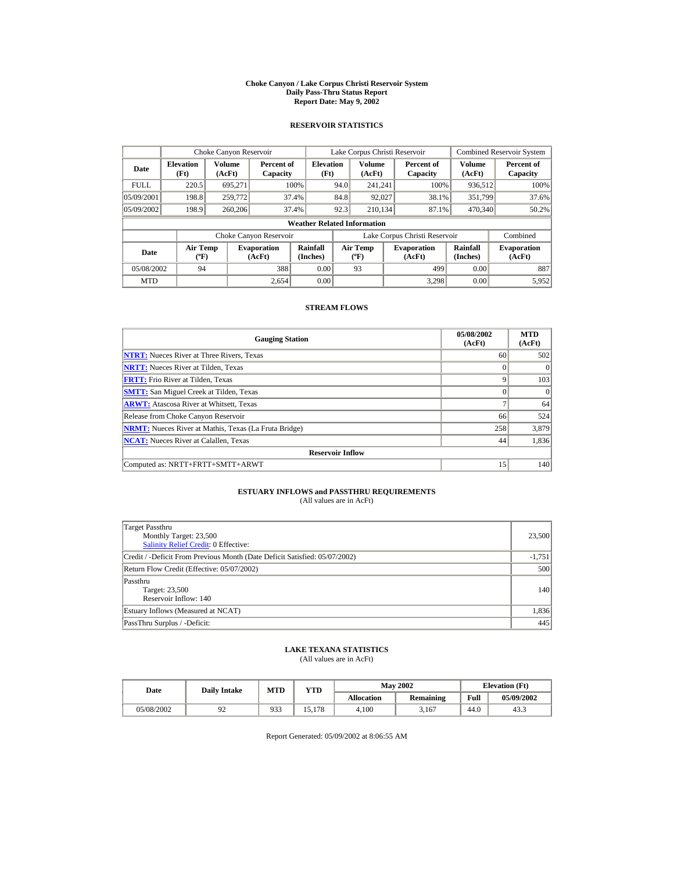#### **Choke Canyon / Lake Corpus Christi Reservoir System Daily Pass-Thru Status Report Report Date: May 9, 2002**

## **RESERVOIR STATISTICS**

|             | Choke Canyon Reservoir                      |                  |                              |                          | Lake Corpus Christi Reservoir |                                                  |  |                               |                         | <b>Combined Reservoir System</b> |  |  |
|-------------|---------------------------------------------|------------------|------------------------------|--------------------------|-------------------------------|--------------------------------------------------|--|-------------------------------|-------------------------|----------------------------------|--|--|
| Date        | <b>Elevation</b><br>(Ft)                    | Volume<br>(AcFt) | Percent of<br>Capacity       | <b>Elevation</b><br>(Ft) |                               | <b>Volume</b><br>(AcFt)                          |  | Percent of<br>Capacity        | <b>Volume</b><br>(AcFt) | Percent of<br>Capacity           |  |  |
| <b>FULL</b> | 220.5                                       | 695.271          |                              | 100%                     | 94.0                          | 241.241                                          |  | 100%                          | 936,512                 | 100%                             |  |  |
| 05/09/2001  | 198.8                                       | 259,772          |                              | 37.4%                    | 84.8                          | 92,027                                           |  | 38.1%                         | 351.799                 | 37.6%                            |  |  |
| 05/09/2002  | 198.9                                       | 260,206          |                              | 37.4%                    | 92.3                          | 210.134                                          |  | 87.1%                         | 470,340                 | $50.2\%$                         |  |  |
|             | <b>Weather Related Information</b>          |                  |                              |                          |                               |                                                  |  |                               |                         |                                  |  |  |
|             |                                             |                  | Choke Canyon Reservoir       |                          |                               |                                                  |  | Lake Corpus Christi Reservoir |                         | Combined                         |  |  |
| Date        | <b>Air Temp</b><br>$({}^{\circ}\mathrm{F})$ |                  | <b>Evaporation</b><br>(AcFt) | Rainfall<br>(Inches)     |                               | <b>Air Temp</b><br>$({}^{\mathrm{o}}\mathrm{F})$ |  | <b>Evaporation</b><br>(AcFt)  | Rainfall<br>(Inches)    | <b>Evaporation</b><br>(AcFt)     |  |  |
| 05/08/2002  | 94                                          |                  | 388                          | 0.00                     |                               | 93                                               |  | 499                           | 0.00                    | 887                              |  |  |
| <b>MTD</b>  |                                             |                  | 2.654                        | 0.00                     |                               |                                                  |  | 3.298                         | 0.00                    | 5,952                            |  |  |

## **STREAM FLOWS**

| <b>Gauging Station</b>                                       | 05/08/2002<br>(AcFt) | <b>MTD</b><br>(AcFt) |
|--------------------------------------------------------------|----------------------|----------------------|
| <b>NTRT:</b> Nueces River at Three Rivers, Texas             | 60                   | 502                  |
| <b>NRTT:</b> Nueces River at Tilden, Texas                   |                      |                      |
| <b>FRTT:</b> Frio River at Tilden, Texas                     |                      | 103                  |
| <b>SMTT:</b> San Miguel Creek at Tilden, Texas               |                      |                      |
| <b>ARWT:</b> Atascosa River at Whitsett, Texas               | ⇁                    | 64                   |
| Release from Choke Canyon Reservoir                          | 66                   | 524                  |
| <b>NRMT:</b> Nueces River at Mathis, Texas (La Fruta Bridge) | 258                  | 3,879                |
| <b>NCAT:</b> Nueces River at Calallen, Texas                 | 44                   | 1,836                |
| <b>Reservoir Inflow</b>                                      |                      |                      |
| Computed as: NRTT+FRTT+SMTT+ARWT                             | 15                   | 140                  |

# **ESTUARY INFLOWS and PASSTHRU REQUIREMENTS**<br>(All values are in AcFt)

| Target Passthru<br>Monthly Target: 23,500<br><b>Salinity Relief Credit: 0 Effective:</b> | 23,500   |
|------------------------------------------------------------------------------------------|----------|
| Credit / -Deficit From Previous Month (Date Deficit Satisfied: 05/07/2002)               | $-1,751$ |
| Return Flow Credit (Effective: 05/07/2002)                                               | 500      |
| Passthru<br>Target: 23,500<br>Reservoir Inflow: 140                                      | 140      |
| Estuary Inflows (Measured at NCAT)                                                       | 1,836    |
| PassThru Surplus / -Deficit:                                                             | 445      |

## **LAKE TEXANA STATISTICS**

(All values are in AcFt)

| Date       | <b>Daily Intake</b> | <b>MTD</b> | YTD    |                   | <b>May 2002</b>  | <b>Elevation</b> (Ft) |            |
|------------|---------------------|------------|--------|-------------------|------------------|-----------------------|------------|
|            |                     |            |        | <b>Allocation</b> | <b>Remaining</b> | Full                  | 05/09/2002 |
| 05/08/2002 | .                   | 933        | 15.178 | 4.100             | 3.167            | 44.0                  | 43.3       |

Report Generated: 05/09/2002 at 8:06:55 AM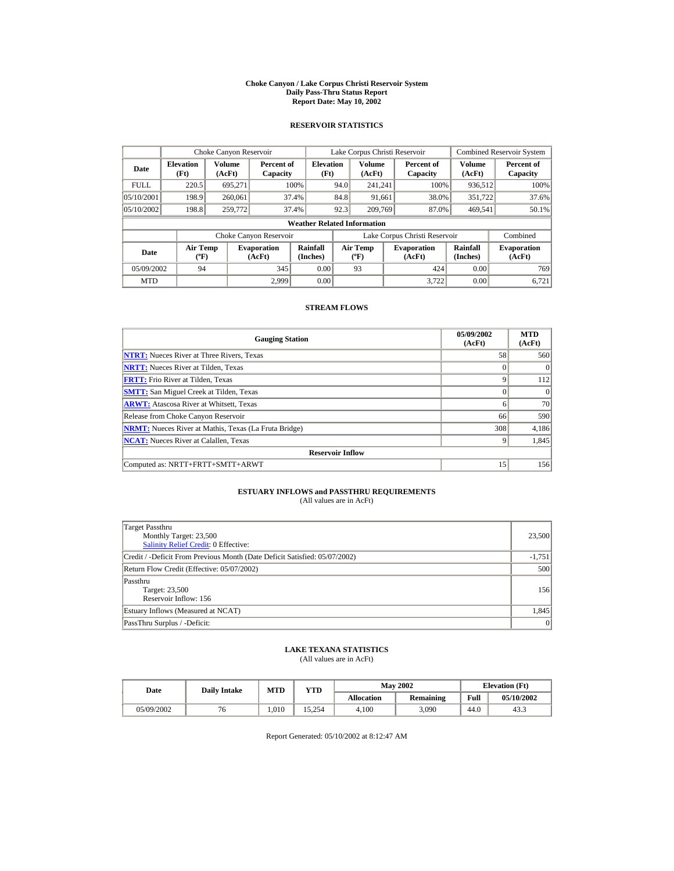#### **Choke Canyon / Lake Corpus Christi Reservoir System Daily Pass-Thru Status Report Report Date: May 10, 2002**

## **RESERVOIR STATISTICS**

|             | Choke Canyon Reservoir                      |                  |                              |                                    | Lake Corpus Christi Reservoir |                                  |  |                               |                      | <b>Combined Reservoir System</b> |
|-------------|---------------------------------------------|------------------|------------------------------|------------------------------------|-------------------------------|----------------------------------|--|-------------------------------|----------------------|----------------------------------|
| Date        | <b>Elevation</b><br>(Ft)                    | Volume<br>(AcFt) | Percent of<br>Capacity       | <b>Elevation</b><br>(Ft)           |                               | Volume<br>(AcFt)                 |  | Percent of<br>Capacity        | Volume<br>(AcFt)     | Percent of<br>Capacity           |
| <b>FULL</b> | 220.5                                       | 695.271          |                              | 100%                               | 94.0                          | 241.241                          |  | 100%                          | 936,512              | 100%                             |
| 05/10/2001  | 198.9                                       | 260,061          |                              | 37.4%                              | 84.8                          | 91,661                           |  | 38.0%                         | 351,722              | 37.6%                            |
| 05/10/2002  | 198.8                                       | 259,772          |                              | 37.4%                              | 92.3                          | 209,769                          |  | 87.0%                         | 469,541              | 50.1%                            |
|             |                                             |                  |                              | <b>Weather Related Information</b> |                               |                                  |  |                               |                      |                                  |
|             |                                             |                  | Choke Canyon Reservoir       |                                    |                               |                                  |  | Lake Corpus Christi Reservoir |                      | Combined                         |
| Date        | <b>Air Temp</b><br>$({}^{\circ}\mathrm{F})$ |                  | <b>Evaporation</b><br>(AcFt) | Rainfall<br>(Inches)               |                               | <b>Air Temp</b><br>$(^{\circ}F)$ |  | <b>Evaporation</b><br>(AcFt)  | Rainfall<br>(Inches) | <b>Evaporation</b><br>(AcFt)     |
| 05/09/2002  | 94                                          |                  | 345                          | 0.00                               |                               | 93                               |  | 424                           | 0.00                 | 769                              |
| <b>MTD</b>  |                                             |                  | 2.999                        | 0.00                               |                               |                                  |  | 3.722                         | 0.00                 | 6.721                            |

## **STREAM FLOWS**

| <b>Gauging Station</b>                                       | 05/09/2002<br>(AcFt) | <b>MTD</b><br>(AcFt) |
|--------------------------------------------------------------|----------------------|----------------------|
| <b>NTRT:</b> Nueces River at Three Rivers, Texas             | 58                   | 560                  |
| <b>NRTT:</b> Nueces River at Tilden, Texas                   |                      |                      |
| <b>FRTT:</b> Frio River at Tilden, Texas                     | $\mathbf Q$          | 112                  |
| <b>SMTT:</b> San Miguel Creek at Tilden, Texas               |                      | $\Omega$             |
| <b>ARWT:</b> Atascosa River at Whitsett, Texas               | 6                    | 70                   |
| Release from Choke Canyon Reservoir                          | 66                   | 590                  |
| <b>NRMT:</b> Nueces River at Mathis, Texas (La Fruta Bridge) | 308                  | 4,186                |
| <b>NCAT:</b> Nueces River at Calallen, Texas                 | $\mathbf Q$          | 1.845                |
| <b>Reservoir Inflow</b>                                      |                      |                      |
| Computed as: NRTT+FRTT+SMTT+ARWT                             | 15                   | 156                  |

# **ESTUARY INFLOWS and PASSTHRU REQUIREMENTS**<br>(All values are in AcFt)

| Target Passthru<br>Monthly Target: 23,500<br><b>Salinity Relief Credit: 0 Effective:</b> | 23,500   |
|------------------------------------------------------------------------------------------|----------|
| Credit / -Deficit From Previous Month (Date Deficit Satisfied: 05/07/2002)               | $-1,751$ |
| Return Flow Credit (Effective: 05/07/2002)                                               | 500      |
| Passthru<br>Target: 23,500<br>Reservoir Inflow: 156                                      | 156      |
| Estuary Inflows (Measured at NCAT)                                                       | 1,845    |
| PassThru Surplus / -Deficit:                                                             | 0        |

## **LAKE TEXANA STATISTICS**

(All values are in AcFt)

| Date       | <b>Daily Intake</b> | MTD  | YTD    |            | <b>May 2002</b> | <b>Elevation</b> (Ft) |            |
|------------|---------------------|------|--------|------------|-----------------|-----------------------|------------|
|            |                     |      |        | Allocation | Remaining       | Full                  | 05/10/2002 |
| 05/09/2002 |                     | .010 | 15.254 | 4.100      | 3.090           | 44.0                  | 43.3       |

Report Generated: 05/10/2002 at 8:12:47 AM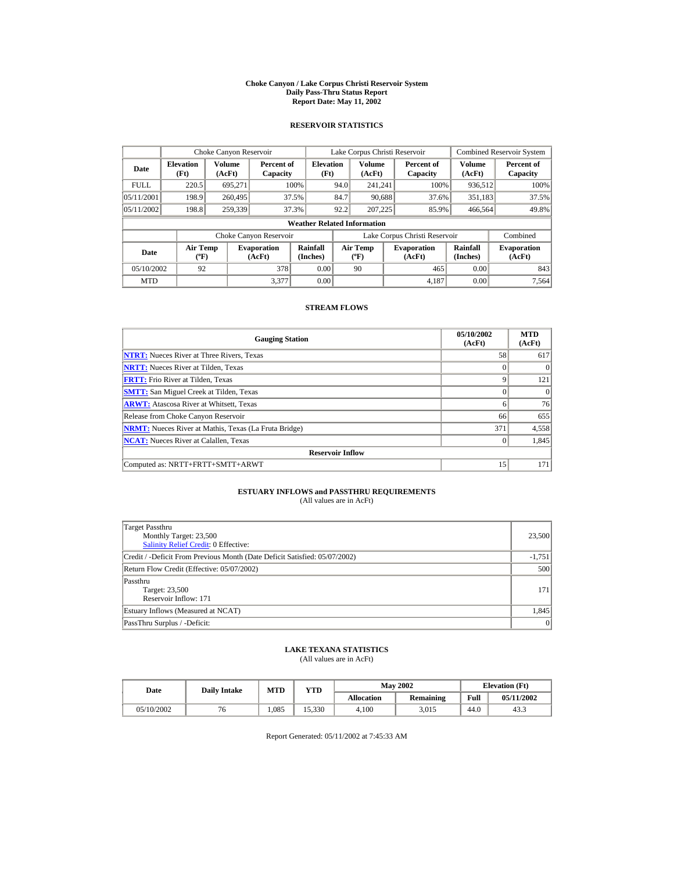#### **Choke Canyon / Lake Corpus Christi Reservoir System Daily Pass-Thru Status Report Report Date: May 11, 2002**

## **RESERVOIR STATISTICS**

|             | Choke Canyon Reservoir                      |                  |                              |                          | Lake Corpus Christi Reservoir |                                  |  |                               |                      | <b>Combined Reservoir System</b> |  |  |
|-------------|---------------------------------------------|------------------|------------------------------|--------------------------|-------------------------------|----------------------------------|--|-------------------------------|----------------------|----------------------------------|--|--|
| Date        | <b>Elevation</b><br>(Ft)                    | Volume<br>(AcFt) | Percent of<br>Capacity       | <b>Elevation</b><br>(Ft) |                               | <b>Volume</b><br>(AcFt)          |  | Percent of<br>Capacity        | Volume<br>(AcFt)     | Percent of<br>Capacity           |  |  |
| <b>FULL</b> | 220.5                                       | 695.271          |                              | 100%                     | 94.0                          | 241.241                          |  | 100%                          | 936,512              | 100%                             |  |  |
| 05/11/2001  | 198.9                                       | 260,495          |                              | 37.5%                    | 84.7                          | 90.688                           |  | 37.6%                         | 351,183              | 37.5%                            |  |  |
| 05/11/2002  | 198.8                                       | 259,339          |                              | 37.3%                    | 92.2                          | 207,225                          |  | 85.9%                         | 466.564              | 49.8%                            |  |  |
|             | <b>Weather Related Information</b>          |                  |                              |                          |                               |                                  |  |                               |                      |                                  |  |  |
|             |                                             |                  | Choke Canyon Reservoir       |                          |                               |                                  |  | Lake Corpus Christi Reservoir |                      | Combined                         |  |  |
| Date        | <b>Air Temp</b><br>$({}^{\circ}\mathrm{F})$ |                  | <b>Evaporation</b><br>(AcFt) | Rainfall<br>(Inches)     |                               | <b>Air Temp</b><br>$(^{\circ}F)$ |  | <b>Evaporation</b><br>(AcFt)  | Rainfall<br>(Inches) | <b>Evaporation</b><br>(AcFt)     |  |  |
| 05/10/2002  | 92                                          |                  | 378                          | 0.00                     |                               | 90                               |  | 465                           | 0.00                 | 843                              |  |  |
| <b>MTD</b>  |                                             |                  | 3.377                        | 0.00                     |                               |                                  |  | 4.187                         | 0.00                 | 7.564                            |  |  |

## **STREAM FLOWS**

| <b>Gauging Station</b>                                       | 05/10/2002<br>(AcFt) | <b>MTD</b><br>(AcFt) |
|--------------------------------------------------------------|----------------------|----------------------|
| <b>NTRT:</b> Nueces River at Three Rivers, Texas             | 58                   | 617                  |
| <b>NRTT:</b> Nueces River at Tilden, Texas                   |                      |                      |
| <b>FRTT:</b> Frio River at Tilden, Texas                     | $\mathbf Q$          | 121                  |
| <b>SMTT:</b> San Miguel Creek at Tilden, Texas               |                      | $\Omega$             |
| <b>ARWT:</b> Atascosa River at Whitsett, Texas               | 6                    | 76                   |
| Release from Choke Canyon Reservoir                          | 66                   | 655                  |
| <b>NRMT:</b> Nueces River at Mathis, Texas (La Fruta Bridge) | 371                  | 4,558                |
| <b>NCAT:</b> Nueces River at Calallen, Texas                 | $\Omega$             | 1.845                |
| <b>Reservoir Inflow</b>                                      |                      |                      |
| Computed as: NRTT+FRTT+SMTT+ARWT                             | 15                   | 171                  |

# **ESTUARY INFLOWS and PASSTHRU REQUIREMENTS**<br>(All values are in AcFt)

| Target Passthru<br>Monthly Target: 23,500<br><b>Salinity Relief Credit: 0 Effective:</b> | 23,500   |
|------------------------------------------------------------------------------------------|----------|
| Credit / -Deficit From Previous Month (Date Deficit Satisfied: 05/07/2002)               | $-1,751$ |
| Return Flow Credit (Effective: 05/07/2002)                                               | 500      |
| Passthru<br>Target: 23,500<br>Reservoir Inflow: 171                                      | 171      |
| Estuary Inflows (Measured at NCAT)                                                       | 1,845    |
| PassThru Surplus / -Deficit:                                                             | 0        |

## **LAKE TEXANA STATISTICS**

(All values are in AcFt)

| Date       | <b>Daily Intake</b> | MTD  | $_{\rm VTD}$ |            | <b>May 2002</b> | <b>Elevation</b> (Ft) |            |
|------------|---------------------|------|--------------|------------|-----------------|-----------------------|------------|
|            |                     |      |              | Allocation | Remaining       | Full                  | 05/11/2002 |
| 05/10/2002 |                     | .085 | 15.330       | 4.100      | 3.015           | 44.0                  | 43.3       |

Report Generated: 05/11/2002 at 7:45:33 AM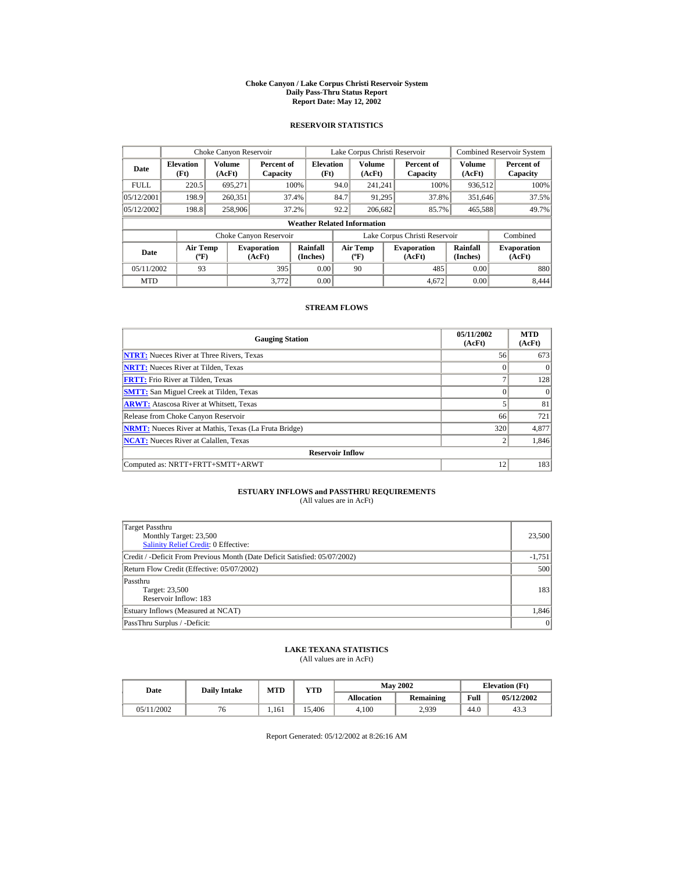#### **Choke Canyon / Lake Corpus Christi Reservoir System Daily Pass-Thru Status Report Report Date: May 12, 2002**

## **RESERVOIR STATISTICS**

|             | Choke Canyon Reservoir                      |                  |                              |                          | Lake Corpus Christi Reservoir |                                  |  |                               |                      | <b>Combined Reservoir System</b> |  |  |
|-------------|---------------------------------------------|------------------|------------------------------|--------------------------|-------------------------------|----------------------------------|--|-------------------------------|----------------------|----------------------------------|--|--|
| Date        | <b>Elevation</b><br>(Ft)                    | Volume<br>(AcFt) | Percent of<br>Capacity       | <b>Elevation</b><br>(Ft) |                               | Volume<br>(AcFt)                 |  | Percent of<br>Capacity        | Volume<br>(AcFt)     | Percent of<br>Capacity           |  |  |
| <b>FULL</b> | 220.5                                       | 695.271          |                              | 100%                     | 94.0                          | 241.241                          |  | 100%                          | 936,512              | 100%                             |  |  |
| 05/12/2001  | 198.9                                       | 260,351          |                              | 37.4%                    | 84.7                          | 91,295                           |  | 37.8%                         | 351,646              | 37.5%                            |  |  |
| 05/12/2002  | 198.8                                       | 258,906          |                              | 37.2%                    | 92.2                          | 206,682                          |  | 85.7%                         | 465,588              | 49.7%                            |  |  |
|             | <b>Weather Related Information</b>          |                  |                              |                          |                               |                                  |  |                               |                      |                                  |  |  |
|             |                                             |                  | Choke Canyon Reservoir       |                          |                               |                                  |  | Lake Corpus Christi Reservoir |                      | Combined                         |  |  |
| Date        | <b>Air Temp</b><br>$({}^{\circ}\mathrm{F})$ |                  | <b>Evaporation</b><br>(AcFt) | Rainfall<br>(Inches)     |                               | <b>Air Temp</b><br>$(^{\circ}F)$ |  | <b>Evaporation</b><br>(AcFt)  | Rainfall<br>(Inches) | <b>Evaporation</b><br>(AcFt)     |  |  |
| 05/11/2002  | 93                                          |                  | 395                          | 0.00                     |                               | 90                               |  | 485                           | 0.00                 | 880                              |  |  |
| <b>MTD</b>  |                                             |                  | 3.772                        | 0.00                     |                               |                                  |  | 4.672                         | 0.00                 | 8.444                            |  |  |

## **STREAM FLOWS**

| <b>Gauging Station</b>                                       | 05/11/2002<br>(AcFt) | <b>MTD</b><br>(AcFt) |
|--------------------------------------------------------------|----------------------|----------------------|
| <b>NTRT:</b> Nueces River at Three Rivers, Texas             | 56                   | 673                  |
| <b>NRTT:</b> Nueces River at Tilden, Texas                   | $\Omega$             | $\Omega$             |
| <b>FRTT:</b> Frio River at Tilden, Texas                     |                      | 128                  |
| <b>SMTT:</b> San Miguel Creek at Tilden, Texas               | $\Omega$             | $\Omega$             |
| <b>ARWT:</b> Atascosa River at Whitsett, Texas               |                      | 81                   |
| Release from Choke Canyon Reservoir                          | 66                   | 721                  |
| <b>NRMT:</b> Nueces River at Mathis, Texas (La Fruta Bridge) | 320                  | 4,877                |
| <b>NCAT:</b> Nueces River at Calallen, Texas                 | $\overline{c}$       | 1,846                |
| <b>Reservoir Inflow</b>                                      |                      |                      |
| Computed as: NRTT+FRTT+SMTT+ARWT                             | 12                   | 183                  |

# **ESTUARY INFLOWS and PASSTHRU REQUIREMENTS**<br>(All values are in AcFt)

| Target Passthru<br>Monthly Target: 23,500<br>Salinity Relief Credit: 0 Effective: | 23,500   |
|-----------------------------------------------------------------------------------|----------|
| Credit / -Deficit From Previous Month (Date Deficit Satisfied: 05/07/2002)        | $-1,751$ |
| Return Flow Credit (Effective: 05/07/2002)                                        | 500      |
| Passthru<br>Target: 23,500<br>Reservoir Inflow: 183                               | 183      |
| Estuary Inflows (Measured at NCAT)                                                | 1,846    |
| PassThru Surplus / -Deficit:                                                      | 0        |

## **LAKE TEXANA STATISTICS**

(All values are in AcFt)

| Date       | <b>Daily Intake</b> | MTD   | <b>VTD</b> |            | <b>May 2002</b> | <b>Elevation</b> (Ft) |            |
|------------|---------------------|-------|------------|------------|-----------------|-----------------------|------------|
|            |                     |       |            | Allocation | Remaining       | Full                  | 05/12/2002 |
| 05/11/2002 |                     | 1.161 | 5.406      | 4.100      | 2,939           | 44.0                  | 43.3       |

Report Generated: 05/12/2002 at 8:26:16 AM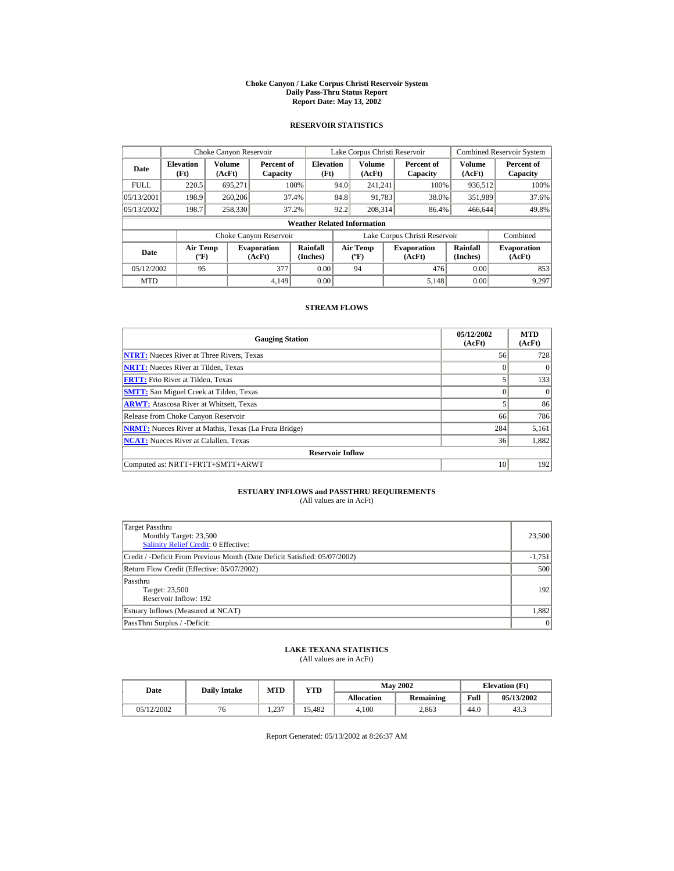#### **Choke Canyon / Lake Corpus Christi Reservoir System Daily Pass-Thru Status Report Report Date: May 13, 2002**

## **RESERVOIR STATISTICS**

|             | Choke Canyon Reservoir                      |                  |                              |                          | Lake Corpus Christi Reservoir |                                  |  |                               | <b>Combined Reservoir System</b> |                              |  |  |
|-------------|---------------------------------------------|------------------|------------------------------|--------------------------|-------------------------------|----------------------------------|--|-------------------------------|----------------------------------|------------------------------|--|--|
| Date        | <b>Elevation</b><br>(Ft)                    | Volume<br>(AcFt) | Percent of<br>Capacity       | <b>Elevation</b><br>(Ft) |                               | Volume<br>(AcFt)                 |  | Percent of<br>Capacity        | Volume<br>(AcFt)                 | Percent of<br>Capacity       |  |  |
| <b>FULL</b> | 220.5                                       | 695.271          |                              | 100%                     | 94.0                          | 241.241                          |  | 100%                          | 936,512                          | 100%                         |  |  |
| 05/13/2001  | 198.9                                       | 260,206          |                              | 37.4%                    | 84.8                          | 91,783                           |  | 38.0%                         | 351,989                          | 37.6%                        |  |  |
| 05/13/2002  | 198.7                                       | 258,330          |                              | 37.2%                    | 92.2                          | 208.314                          |  | 86.4%                         | 466,644                          | 49.8%                        |  |  |
|             | <b>Weather Related Information</b>          |                  |                              |                          |                               |                                  |  |                               |                                  |                              |  |  |
|             |                                             |                  | Choke Canyon Reservoir       |                          |                               |                                  |  | Lake Corpus Christi Reservoir |                                  | Combined                     |  |  |
| Date        | <b>Air Temp</b><br>$({}^{\circ}\mathrm{F})$ |                  | <b>Evaporation</b><br>(AcFt) | Rainfall<br>(Inches)     |                               | <b>Air Temp</b><br>$(^{\circ}F)$ |  | <b>Evaporation</b><br>(AcFt)  | Rainfall<br>(Inches)             | <b>Evaporation</b><br>(AcFt) |  |  |
| 05/12/2002  | 95                                          |                  | 377                          | 0.00                     |                               | 94                               |  | 476                           | 0.00                             | 853                          |  |  |
| <b>MTD</b>  |                                             |                  | 4.149                        | 0.00                     |                               |                                  |  | 5.148                         | 0.00                             | 9.297                        |  |  |

## **STREAM FLOWS**

| <b>Gauging Station</b>                                       | 05/12/2002<br>(AcFt) | <b>MTD</b><br>(AcFt) |
|--------------------------------------------------------------|----------------------|----------------------|
| <b>NTRT:</b> Nueces River at Three Rivers, Texas             | 56                   | 728                  |
| <b>NRTT:</b> Nueces River at Tilden, Texas                   | $\Omega$             | $\Omega$             |
| <b>FRTT:</b> Frio River at Tilden, Texas                     |                      | 133                  |
| <b>SMTT:</b> San Miguel Creek at Tilden, Texas               |                      | $\Omega$             |
| <b>ARWT:</b> Atascosa River at Whitsett, Texas               |                      | 86                   |
| Release from Choke Canyon Reservoir                          | 66                   | 786                  |
| <b>NRMT:</b> Nueces River at Mathis, Texas (La Fruta Bridge) | 284                  | 5,161                |
| <b>NCAT:</b> Nueces River at Calallen, Texas                 | 36                   | 1,882                |
| <b>Reservoir Inflow</b>                                      |                      |                      |
| Computed as: NRTT+FRTT+SMTT+ARWT                             | 10                   | 192                  |

# **ESTUARY INFLOWS and PASSTHRU REQUIREMENTS**<br>(All values are in AcFt)

| Target Passthru<br>Monthly Target: 23,500<br><b>Salinity Relief Credit: 0 Effective:</b> | 23,500   |
|------------------------------------------------------------------------------------------|----------|
| Credit / -Deficit From Previous Month (Date Deficit Satisfied: 05/07/2002)               | $-1,751$ |
| Return Flow Credit (Effective: 05/07/2002)                                               | 500      |
| Passthru<br>Target: 23,500<br>Reservoir Inflow: 192                                      | 192      |
| Estuary Inflows (Measured at NCAT)                                                       | 1,882    |
| PassThru Surplus / -Deficit:                                                             | 0        |

## **LAKE TEXANA STATISTICS**

(All values are in AcFt)

| Date       | <b>Daily Intake</b> | MTD         | <b>VTD</b> |            | <b>May 2002</b> | <b>Elevation</b> (Ft) |            |
|------------|---------------------|-------------|------------|------------|-----------------|-----------------------|------------|
|            |                     |             |            | Allocation | Remaining       | Full                  | 05/13/2002 |
| 05/12/2002 |                     | 237<br>1.4J | 15.482     | 4.100      | 2.863           | 44.0                  | 43.3       |

Report Generated: 05/13/2002 at 8:26:37 AM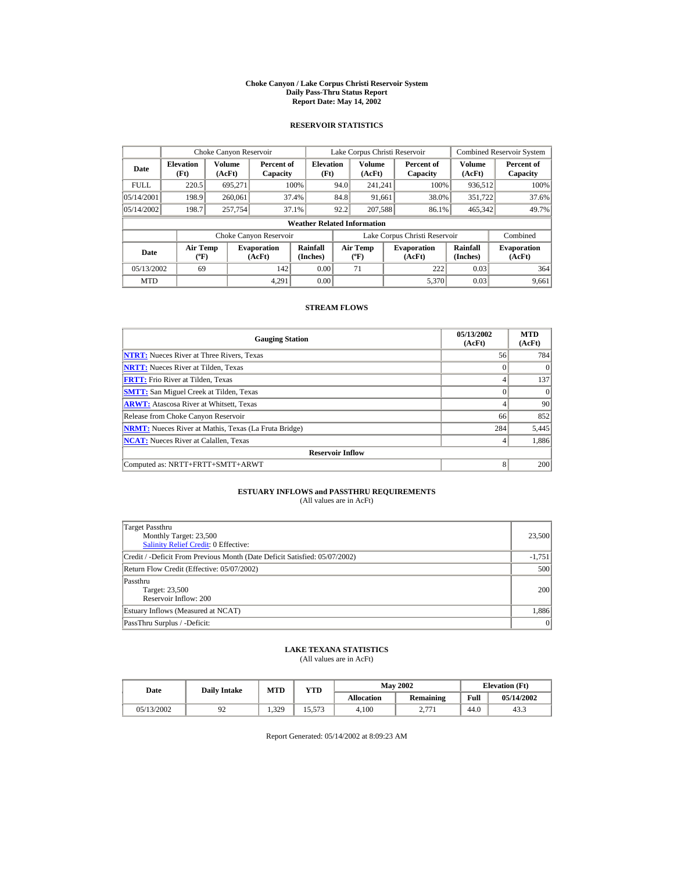#### **Choke Canyon / Lake Corpus Christi Reservoir System Daily Pass-Thru Status Report Report Date: May 14, 2002**

## **RESERVOIR STATISTICS**

|             | Choke Canyon Reservoir                      |                  |                              |                          | Lake Corpus Christi Reservoir |                                  |  |                               |                      | Combined Reservoir System    |  |  |
|-------------|---------------------------------------------|------------------|------------------------------|--------------------------|-------------------------------|----------------------------------|--|-------------------------------|----------------------|------------------------------|--|--|
| Date        | <b>Elevation</b><br>(Ft)                    | Volume<br>(AcFt) | Percent of<br>Capacity       | <b>Elevation</b><br>(Ft) |                               | Volume<br>(AcFt)                 |  | Percent of<br>Capacity        | Volume<br>(AcFt)     | Percent of<br>Capacity       |  |  |
| <b>FULL</b> | 220.5                                       | 695.271          |                              | 100%                     | 94.0                          | 241.241                          |  | 100%                          | 936,512              | 100%                         |  |  |
| 05/14/2001  | 198.9                                       | 260,061          |                              | 37.4%                    | 84.8                          | 91,661                           |  | 38.0%                         | 351,722              | 37.6%                        |  |  |
| 05/14/2002  | 198.7                                       | 257,754          |                              | 37.1%                    | 92.2                          | 207,588                          |  | 86.1%                         | 465,342              | 49.7%                        |  |  |
|             | <b>Weather Related Information</b>          |                  |                              |                          |                               |                                  |  |                               |                      |                              |  |  |
|             |                                             |                  | Choke Canyon Reservoir       |                          |                               |                                  |  | Lake Corpus Christi Reservoir |                      | Combined                     |  |  |
| Date        | <b>Air Temp</b><br>$({}^{\circ}\mathrm{F})$ |                  | <b>Evaporation</b><br>(AcFt) | Rainfall<br>(Inches)     |                               | <b>Air Temp</b><br>$(^{\circ}F)$ |  | <b>Evaporation</b><br>(AcFt)  | Rainfall<br>(Inches) | <b>Evaporation</b><br>(AcFt) |  |  |
| 05/13/2002  | 69                                          |                  | 142                          | 0.00                     |                               | 71                               |  | 222                           | 0.03                 | 364                          |  |  |
| <b>MTD</b>  |                                             |                  | 4.291                        | 0.00                     |                               |                                  |  | 5.370                         | 0.03                 | 9,661                        |  |  |

## **STREAM FLOWS**

| <b>Gauging Station</b>                                       | 05/13/2002<br>(AcFt) | <b>MTD</b><br>(AcFt) |
|--------------------------------------------------------------|----------------------|----------------------|
| <b>NTRT:</b> Nueces River at Three Rivers, Texas             | 56                   | 784                  |
| <b>NRTT:</b> Nueces River at Tilden, Texas                   | $\Omega$             | $\Omega$             |
| <b>FRTT:</b> Frio River at Tilden, Texas                     | 4                    | 137                  |
| <b>SMTT:</b> San Miguel Creek at Tilden, Texas               | 0                    | $\Omega$             |
| <b>ARWT:</b> Atascosa River at Whitsett, Texas               | 4                    | 90                   |
| Release from Choke Canyon Reservoir                          | 66                   | 852                  |
| <b>NRMT:</b> Nueces River at Mathis, Texas (La Fruta Bridge) | 284                  | 5,445                |
| <b>NCAT:</b> Nueces River at Calallen, Texas                 | $\overline{4}$       | 1.886                |
| <b>Reservoir Inflow</b>                                      |                      |                      |
| Computed as: NRTT+FRTT+SMTT+ARWT                             | 8                    | 200                  |

# **ESTUARY INFLOWS and PASSTHRU REQUIREMENTS**<br>(All values are in AcFt)

| Target Passthru<br>Monthly Target: 23,500<br><b>Salinity Relief Credit: 0 Effective:</b> | 23,500   |
|------------------------------------------------------------------------------------------|----------|
| Credit / -Deficit From Previous Month (Date Deficit Satisfied: 05/07/2002)               | $-1,751$ |
| Return Flow Credit (Effective: 05/07/2002)                                               | 500      |
| Passthru<br>Target: 23,500<br>Reservoir Inflow: 200                                      | 200      |
| Estuary Inflows (Measured at NCAT)                                                       | 1,886    |
| PassThru Surplus / -Deficit:                                                             | 0        |

## **LAKE TEXANA STATISTICS**

(All values are in AcFt)

| Date       | <b>Daily Intake</b> | MTD   | YTD    |                   | <b>May 2002</b>     | <b>Elevation</b> (Ft) |            |
|------------|---------------------|-------|--------|-------------------|---------------------|-----------------------|------------|
|            |                     |       |        | <b>Allocation</b> | <b>Remaining</b>    | Full                  | 05/14/2002 |
| 05/13/2002 |                     | 1.329 | 15.573 | 4.100             | 271<br><u>، ، ،</u> | 44.0                  | 43.3       |

Report Generated: 05/14/2002 at 8:09:23 AM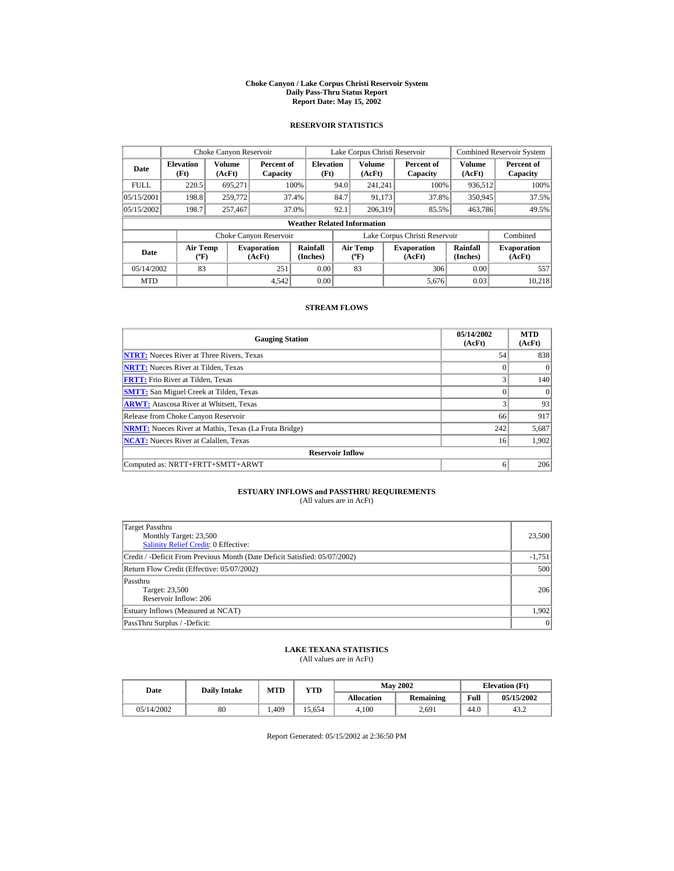#### **Choke Canyon / Lake Corpus Christi Reservoir System Daily Pass-Thru Status Report Report Date: May 15, 2002**

## **RESERVOIR STATISTICS**

|             | Choke Canyon Reservoir                      |                  |                              |                          | Lake Corpus Christi Reservoir |                                           |  |                               |                      | <b>Combined Reservoir System</b> |  |  |
|-------------|---------------------------------------------|------------------|------------------------------|--------------------------|-------------------------------|-------------------------------------------|--|-------------------------------|----------------------|----------------------------------|--|--|
| Date        | <b>Elevation</b><br>(Ft)                    | Volume<br>(AcFt) | Percent of<br>Capacity       | <b>Elevation</b><br>(Ft) |                               | Volume<br>(AcFt)                          |  | Percent of<br>Capacity        | Volume<br>(AcFt)     | Percent of<br>Capacity           |  |  |
| <b>FULL</b> | 220.5                                       | 695.271          |                              | 100%                     | 94.0                          | 241.241                                   |  | 100%                          | 936,512              | 100%                             |  |  |
| 05/15/2001  | 198.8                                       | 259,772          |                              | 37.4%                    | 84.7                          | 91.173                                    |  | 37.8%                         | 350,945              | 37.5%                            |  |  |
| 05/15/2002  | 198.7                                       | 257,467          |                              | 37.0%                    | 92.1                          | 206.319                                   |  | 85.5%                         | 463,786              | 49.5%                            |  |  |
|             | <b>Weather Related Information</b>          |                  |                              |                          |                               |                                           |  |                               |                      |                                  |  |  |
|             |                                             |                  | Choke Canyon Reservoir       |                          |                               |                                           |  | Lake Corpus Christi Reservoir |                      | Combined                         |  |  |
| Date        | <b>Air Temp</b><br>$({}^{\circ}\mathrm{F})$ |                  | <b>Evaporation</b><br>(AcFt) | Rainfall<br>(Inches)     |                               | <b>Air Temp</b><br>$({}^{\circ}\text{F})$ |  | <b>Evaporation</b><br>(AcFt)  | Rainfall<br>(Inches) | <b>Evaporation</b><br>(AcFt)     |  |  |
| 05/14/2002  | 83                                          |                  | 251                          | 0.00                     |                               | 83                                        |  | 306                           | 0.00                 | 557                              |  |  |
| <b>MTD</b>  |                                             |                  | 4.542                        | 0.00                     |                               |                                           |  | 5,676                         | 0.03                 | 10.218                           |  |  |

## **STREAM FLOWS**

| <b>Gauging Station</b>                                       | 05/14/2002<br>(AcFt) | <b>MTD</b><br>(AcFt) |
|--------------------------------------------------------------|----------------------|----------------------|
| <b>NTRT:</b> Nueces River at Three Rivers, Texas             | 54                   | 838                  |
| <b>NRTT:</b> Nueces River at Tilden, Texas                   |                      | $\Omega$             |
| <b>FRTT:</b> Frio River at Tilden, Texas                     |                      | 140 <sup>°</sup>     |
| <b>SMTT:</b> San Miguel Creek at Tilden, Texas               |                      | $\Omega$             |
| <b>ARWT:</b> Atascosa River at Whitsett, Texas               | 3                    | 93                   |
| Release from Choke Canyon Reservoir                          | 66                   | 917                  |
| <b>NRMT:</b> Nueces River at Mathis, Texas (La Fruta Bridge) | 242                  | 5,687                |
| <b>NCAT:</b> Nueces River at Calallen, Texas                 | 16                   | 1.902                |
| <b>Reservoir Inflow</b>                                      |                      |                      |
| Computed as: NRTT+FRTT+SMTT+ARWT                             | 6                    | 206                  |

# **ESTUARY INFLOWS and PASSTHRU REQUIREMENTS**<br>(All values are in AcFt)

| Target Passthru<br>Monthly Target: 23,500<br><b>Salinity Relief Credit: 0 Effective:</b> | 23,500   |
|------------------------------------------------------------------------------------------|----------|
| Credit / -Deficit From Previous Month (Date Deficit Satisfied: 05/07/2002)               | $-1,751$ |
| Return Flow Credit (Effective: 05/07/2002)                                               | 500      |
| Passthru<br>Target: 23,500<br>Reservoir Inflow: 206                                      | 206      |
| Estuary Inflows (Measured at NCAT)                                                       | 1,902    |
| PassThru Surplus / -Deficit:                                                             | 0        |

## **LAKE TEXANA STATISTICS**

(All values are in AcFt)

| Date       | <b>Daily Intake</b> | <b>MTD</b> | YTD   |                   | <b>May 2002</b> | <b>Elevation</b> (Ft) |            |
|------------|---------------------|------------|-------|-------------------|-----------------|-----------------------|------------|
|            |                     |            |       | <b>Allocation</b> | Remaining       | Full                  | 05/15/2002 |
| 05/14/2002 | 80                  | .409       | 5.654 | 4.100             | 2.691           | 44.0                  | 43.2       |

Report Generated: 05/15/2002 at 2:36:50 PM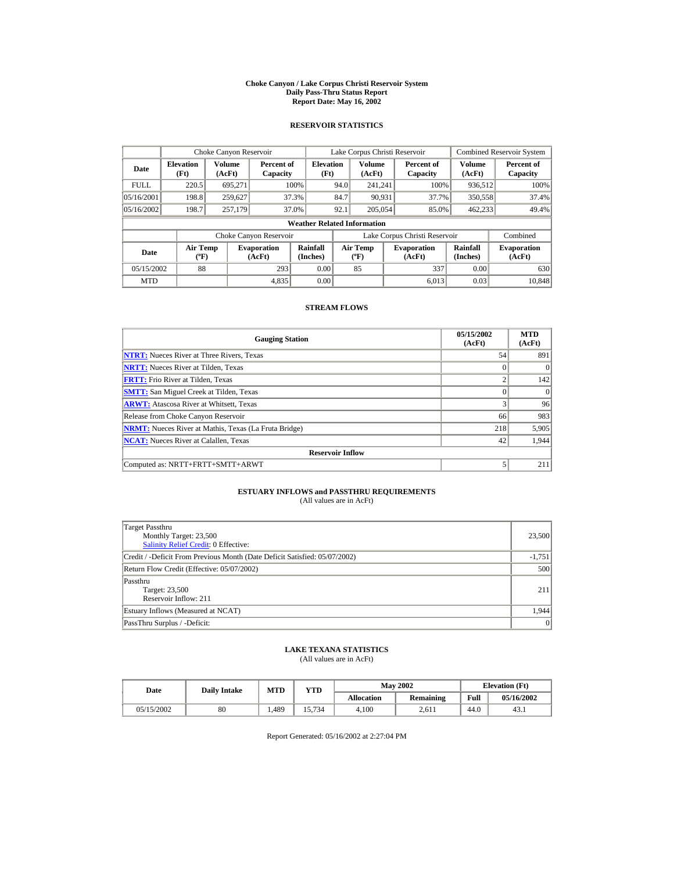#### **Choke Canyon / Lake Corpus Christi Reservoir System Daily Pass-Thru Status Report Report Date: May 16, 2002**

## **RESERVOIR STATISTICS**

|             | Choke Canyon Reservoir                      |                  |                              |                          | Lake Corpus Christi Reservoir |                                           |  |                               |                      | <b>Combined Reservoir System</b> |  |  |
|-------------|---------------------------------------------|------------------|------------------------------|--------------------------|-------------------------------|-------------------------------------------|--|-------------------------------|----------------------|----------------------------------|--|--|
| Date        | <b>Elevation</b><br>(Ft)                    | Volume<br>(AcFt) | Percent of<br>Capacity       | <b>Elevation</b><br>(Ft) |                               | Volume<br>(AcFt)                          |  | Percent of<br>Capacity        | Volume<br>(AcFt)     | Percent of<br>Capacity           |  |  |
| <b>FULL</b> | 220.5                                       | 695.271          |                              | 100%                     | 94.0                          | 241.241                                   |  | 100%                          | 936,512              | 100%                             |  |  |
| 05/16/2001  | 198.8                                       | 259,627          |                              | 37.3%                    | 84.7                          | 90,931                                    |  | 37.7%                         | 350,558              | 37.4%                            |  |  |
| 05/16/2002  | 198.7                                       | 257,179          |                              | 37.0%                    | 92.1                          | 205,054                                   |  | 85.0%                         | 462,233              | 49.4%                            |  |  |
|             | <b>Weather Related Information</b>          |                  |                              |                          |                               |                                           |  |                               |                      |                                  |  |  |
|             |                                             |                  | Choke Canyon Reservoir       |                          |                               |                                           |  | Lake Corpus Christi Reservoir |                      | Combined                         |  |  |
| Date        | <b>Air Temp</b><br>$({}^{\circ}\mathrm{F})$ |                  | <b>Evaporation</b><br>(AcFt) | Rainfall<br>(Inches)     |                               | <b>Air Temp</b><br>$({}^{\circ}\text{F})$ |  | <b>Evaporation</b><br>(AcFt)  | Rainfall<br>(Inches) | <b>Evaporation</b><br>(AcFt)     |  |  |
| 05/15/2002  | 88                                          |                  | 293                          | 0.00                     |                               | 85                                        |  | 337                           | 0.00                 | 630                              |  |  |
| <b>MTD</b>  |                                             |                  | 4.835                        | 0.00                     |                               |                                           |  | 6.013                         | 0.03                 | 10.848                           |  |  |

## **STREAM FLOWS**

| <b>Gauging Station</b>                                       | 05/15/2002<br>(AcFt) | <b>MTD</b><br>(AcFt) |
|--------------------------------------------------------------|----------------------|----------------------|
| <b>NTRT:</b> Nueces River at Three Rivers, Texas             | 54                   | 891                  |
| <b>NRTT:</b> Nueces River at Tilden, Texas                   | $\Omega$             | $\Omega$             |
| <b>FRTT:</b> Frio River at Tilden, Texas                     | C                    | 142                  |
| <b>SMTT:</b> San Miguel Creek at Tilden, Texas               | $\Omega$             | $\Omega$             |
| <b>ARWT:</b> Atascosa River at Whitsett, Texas               | 3                    | 96                   |
| Release from Choke Canyon Reservoir                          | 66                   | 983                  |
| <b>NRMT:</b> Nueces River at Mathis, Texas (La Fruta Bridge) | 218                  | 5,905                |
| <b>NCAT:</b> Nueces River at Calallen, Texas                 | 42                   | 1.944                |
| <b>Reservoir Inflow</b>                                      |                      |                      |
| Computed as: NRTT+FRTT+SMTT+ARWT                             | 5                    | 211                  |

# **ESTUARY INFLOWS and PASSTHRU REQUIREMENTS**<br>(All values are in AcFt)

| Target Passthru<br>Monthly Target: 23,500<br><b>Salinity Relief Credit: 0 Effective:</b> | 23,500   |
|------------------------------------------------------------------------------------------|----------|
| Credit / -Deficit From Previous Month (Date Deficit Satisfied: 05/07/2002)               | $-1,751$ |
| Return Flow Credit (Effective: 05/07/2002)                                               | 500      |
| Passthru<br>Target: 23,500<br>Reservoir Inflow: 211                                      | 211      |
| Estuary Inflows (Measured at NCAT)                                                       | 1,944    |
| PassThru Surplus / -Deficit:                                                             | 0        |

## **LAKE TEXANA STATISTICS**

(All values are in AcFt)

| Date       | <b>Daily Intake</b> | <b>MTD</b> | YTD    |                   | <b>May 2002</b> | <b>Elevation</b> (Ft) |            |
|------------|---------------------|------------|--------|-------------------|-----------------|-----------------------|------------|
|            |                     |            |        | <b>Allocation</b> | Remaining       | Full                  | 05/16/2002 |
| 05/15/2002 | 80                  | .489       | .5,734 | 4.100             | 2.611           | 44.0                  | 43.1       |

Report Generated: 05/16/2002 at 2:27:04 PM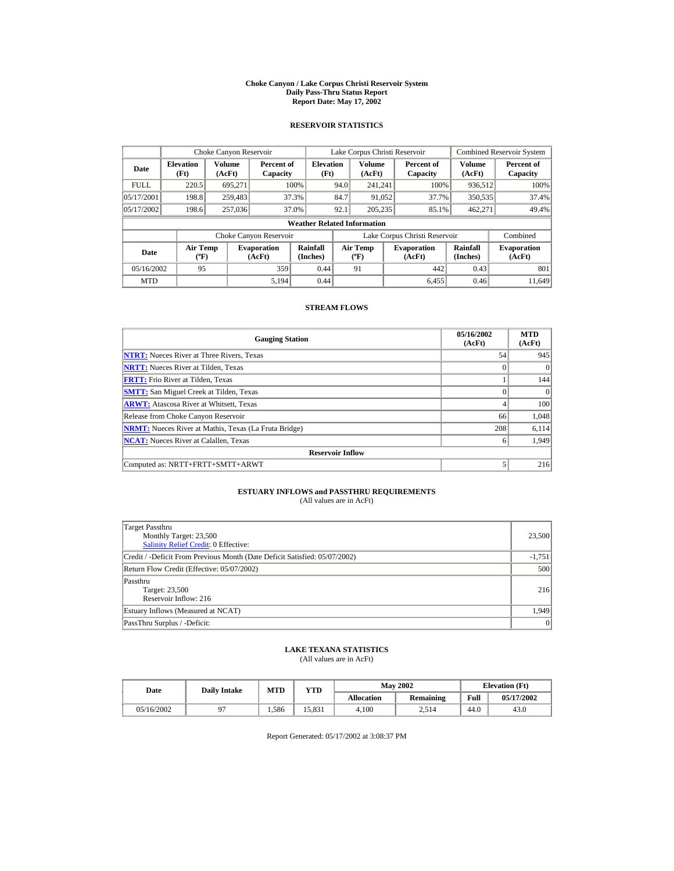#### **Choke Canyon / Lake Corpus Christi Reservoir System Daily Pass-Thru Status Report Report Date: May 17, 2002**

## **RESERVOIR STATISTICS**

|             | Choke Canyon Reservoir                      |                  |                              |                             | Lake Corpus Christi Reservoir |                                         |  |                               |                      | <b>Combined Reservoir System</b> |  |  |
|-------------|---------------------------------------------|------------------|------------------------------|-----------------------------|-------------------------------|-----------------------------------------|--|-------------------------------|----------------------|----------------------------------|--|--|
| Date        | <b>Elevation</b><br>(Ft)                    | Volume<br>(AcFt) | Percent of<br>Capacity       | <b>Elevation</b><br>(Ft)    |                               | <b>Volume</b><br>(AcFt)                 |  | Percent of<br>Capacity        | Volume<br>(AcFt)     | Percent of<br>Capacity           |  |  |
| <b>FULL</b> | 220.5                                       | 695.271          |                              | 100%                        | 94.0                          | 241.241                                 |  | 100%                          | 936,512              | 100%                             |  |  |
| 05/17/2001  | 198.8                                       | 259,483          |                              | 37.3%                       | 84.7                          | 91,052                                  |  | 37.7%                         | 350,535              | 37.4%                            |  |  |
| 05/17/2002  | 198.6                                       | 257,036          |                              | 37.0%                       | 92.1                          | 205,235                                 |  | 85.1%                         | 462,271              | 49.4%                            |  |  |
|             | <b>Weather Related Information</b>          |                  |                              |                             |                               |                                         |  |                               |                      |                                  |  |  |
|             |                                             |                  | Choke Canyon Reservoir       |                             |                               |                                         |  | Lake Corpus Christi Reservoir |                      | Combined                         |  |  |
| Date        | <b>Air Temp</b><br>$({}^{\circ}\mathrm{F})$ |                  | <b>Evaporation</b><br>(AcFt) | <b>Rainfall</b><br>(Inches) |                               | <b>Air Temp</b><br>$(^{\circ}\text{F})$ |  | <b>Evaporation</b><br>(AcFt)  | Rainfall<br>(Inches) | <b>Evaporation</b><br>(AcFt)     |  |  |
| 05/16/2002  | 95                                          |                  | 359                          | 0.44                        |                               | 91                                      |  | 442                           | 0.43                 | 801                              |  |  |
| <b>MTD</b>  |                                             |                  | 5.194                        | 0.44                        |                               |                                         |  | 6.455                         | 0.46                 | 11.649                           |  |  |

## **STREAM FLOWS**

| <b>Gauging Station</b>                                       | 05/16/2002<br>(AcFt) | <b>MTD</b><br>(AcFt) |
|--------------------------------------------------------------|----------------------|----------------------|
| <b>NTRT:</b> Nueces River at Three Rivers, Texas             | 54                   | 945                  |
| <b>NRTT:</b> Nueces River at Tilden, Texas                   |                      | $\Omega$             |
| <b>FRTT:</b> Frio River at Tilden, Texas                     |                      | 144                  |
| <b>SMTT:</b> San Miguel Creek at Tilden, Texas               |                      | $\Omega$             |
| <b>ARWT:</b> Atascosa River at Whitsett, Texas               | 4                    | 100                  |
| Release from Choke Canyon Reservoir                          | 66                   | 1,048                |
| <b>NRMT:</b> Nueces River at Mathis, Texas (La Fruta Bridge) | 208                  | 6,114                |
| <b>NCAT:</b> Nueces River at Calallen, Texas                 | 6                    | 1.949                |
| <b>Reservoir Inflow</b>                                      |                      |                      |
| Computed as: NRTT+FRTT+SMTT+ARWT                             |                      | 216                  |

# **ESTUARY INFLOWS and PASSTHRU REQUIREMENTS**<br>(All values are in AcFt)

| Target Passthru<br>Monthly Target: 23,500<br><b>Salinity Relief Credit: 0 Effective:</b> | 23,500   |
|------------------------------------------------------------------------------------------|----------|
| Credit / -Deficit From Previous Month (Date Deficit Satisfied: 05/07/2002)               | $-1,751$ |
| Return Flow Credit (Effective: 05/07/2002)                                               | 500      |
| Passthru<br>Target: 23,500<br>Reservoir Inflow: 216                                      | 216      |
| Estuary Inflows (Measured at NCAT)                                                       | 1,949    |
| PassThru Surplus / -Deficit:                                                             | 0        |

## **LAKE TEXANA STATISTICS**

(All values are in AcFt)

| Date       | <b>Daily Intake</b> | <b>MTD</b> | YTD   |                   | <b>May 2002</b> | <b>Elevation</b> (Ft) |            |
|------------|---------------------|------------|-------|-------------------|-----------------|-----------------------|------------|
|            |                     |            |       | <b>Allocation</b> | Remaining       | Full                  | 05/17/2002 |
| 05/16/2002 |                     | 1.586      | 5.831 | 4.100             | 2,514           | 44.0                  | 43.0       |

Report Generated: 05/17/2002 at 3:08:37 PM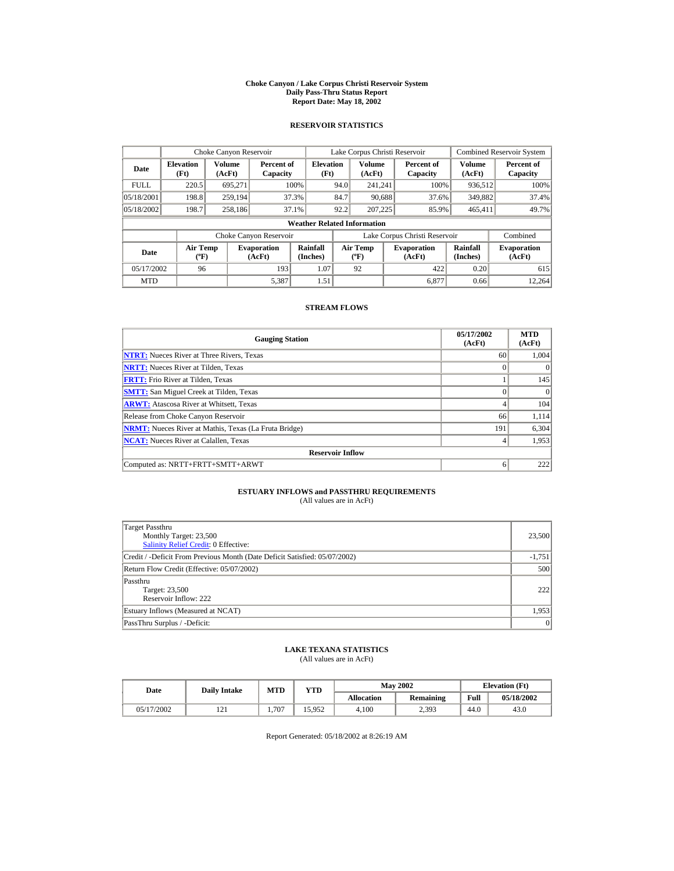#### **Choke Canyon / Lake Corpus Christi Reservoir System Daily Pass-Thru Status Report Report Date: May 18, 2002**

## **RESERVOIR STATISTICS**

|             | Choke Canyon Reservoir                      |                  |                              |                          | Lake Corpus Christi Reservoir |                                             |  |                               |                      | Combined Reservoir System    |  |  |
|-------------|---------------------------------------------|------------------|------------------------------|--------------------------|-------------------------------|---------------------------------------------|--|-------------------------------|----------------------|------------------------------|--|--|
| Date        | <b>Elevation</b><br>(Ft)                    | Volume<br>(AcFt) | Percent of<br>Capacity       | <b>Elevation</b><br>(Ft) |                               | <b>Volume</b><br>(AcFt)                     |  | Percent of<br>Capacity        | Volume<br>(AcFt)     | Percent of<br>Capacity       |  |  |
| <b>FULL</b> | 220.5                                       | 695.271          |                              | 100%                     | 94.0                          | 241.241                                     |  | 100%                          | 936,512              | 100%                         |  |  |
| 05/18/2001  | 198.8                                       | 259,194          |                              | 37.3%                    | 84.7                          | 90.688                                      |  | 37.6%                         | 349,882              | 37.4%                        |  |  |
| 05/18/2002  | 198.7                                       | 258,186          |                              | 37.1%                    | 92.2                          | 207,225                                     |  | 85.9%                         | 465,411              | 49.7%                        |  |  |
|             | <b>Weather Related Information</b>          |                  |                              |                          |                               |                                             |  |                               |                      |                              |  |  |
|             |                                             |                  | Choke Canyon Reservoir       |                          |                               |                                             |  | Lake Corpus Christi Reservoir |                      | Combined                     |  |  |
| Date        | <b>Air Temp</b><br>$({}^{\circ}\mathrm{F})$ |                  | <b>Evaporation</b><br>(AcFt) | Rainfall<br>(Inches)     |                               | <b>Air Temp</b><br>$({}^{\circ}\mathbf{F})$ |  | <b>Evaporation</b><br>(AcFt)  | Rainfall<br>(Inches) | <b>Evaporation</b><br>(AcFt) |  |  |
| 05/17/2002  | 96                                          |                  | 193                          | 1.07                     |                               | 92                                          |  | 422                           | 0.20                 | 615                          |  |  |
| <b>MTD</b>  |                                             |                  | 5,387                        | 1.51                     |                               |                                             |  | 6.877                         | 0.66                 | 12.264                       |  |  |

## **STREAM FLOWS**

| <b>Gauging Station</b>                                       | 05/17/2002<br>(AcFt) | <b>MTD</b><br>(AcFt) |
|--------------------------------------------------------------|----------------------|----------------------|
| <b>NTRT:</b> Nueces River at Three Rivers, Texas             | 60                   | 1,004                |
| <b>NRTT:</b> Nueces River at Tilden, Texas                   | $\Omega$             | $\Omega$             |
| <b>FRTT:</b> Frio River at Tilden, Texas                     |                      | 145                  |
| <b>SMTT:</b> San Miguel Creek at Tilden, Texas               | $\Omega$             | $\Omega$             |
| <b>ARWT:</b> Atascosa River at Whitsett, Texas               | 4                    | 104                  |
| Release from Choke Canyon Reservoir                          | 66                   | 1,114                |
| <b>NRMT:</b> Nueces River at Mathis, Texas (La Fruta Bridge) | 191                  | 6,304                |
| <b>NCAT:</b> Nueces River at Calallen, Texas                 | $\overline{4}$       | 1,953                |
| <b>Reservoir Inflow</b>                                      |                      |                      |
| Computed as: NRTT+FRTT+SMTT+ARWT                             | 6                    | 222                  |

# **ESTUARY INFLOWS and PASSTHRU REQUIREMENTS**<br>(All values are in AcFt)

| Target Passthru<br>Monthly Target: 23,500<br><b>Salinity Relief Credit: 0 Effective:</b> | 23,500   |
|------------------------------------------------------------------------------------------|----------|
| Credit / -Deficit From Previous Month (Date Deficit Satisfied: 05/07/2002)               | $-1,751$ |
| Return Flow Credit (Effective: 05/07/2002)                                               | 500      |
| Passthru<br>Target: 23,500<br>Reservoir Inflow: 222                                      | 222      |
| Estuary Inflows (Measured at NCAT)                                                       | 1,953    |
| PassThru Surplus / -Deficit:                                                             | 0        |

## **LAKE TEXANA STATISTICS**

(All values are in AcFt)

| Date       | <b>Daily Intake</b> | MTD   | $_{\rm VTD}$ |            | <b>May 2002</b> | <b>Elevation</b> (Ft) |            |
|------------|---------------------|-------|--------------|------------|-----------------|-----------------------|------------|
|            |                     |       |              | Allocation | Remaining       | Full                  | 05/18/2002 |
| 05/17/2002 | 1/1                 | 1.707 | 15.952       | 4.100      | 2,393           | 44.0                  | 43.0       |

Report Generated: 05/18/2002 at 8:26:19 AM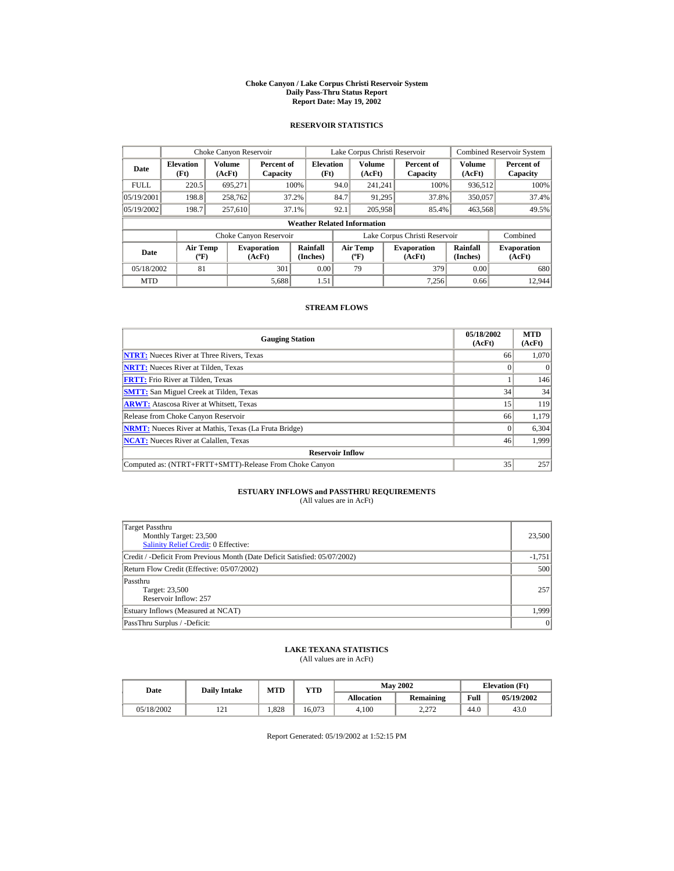#### **Choke Canyon / Lake Corpus Christi Reservoir System Daily Pass-Thru Status Report Report Date: May 19, 2002**

## **RESERVOIR STATISTICS**

|                                    | Choke Canyon Reservoir                       |         |                              |                          | Lake Corpus Christi Reservoir             |                  |  |                               |                      | <b>Combined Reservoir System</b> |
|------------------------------------|----------------------------------------------|---------|------------------------------|--------------------------|-------------------------------------------|------------------|--|-------------------------------|----------------------|----------------------------------|
| Date                               | Volume<br><b>Elevation</b><br>(Ft)<br>(AcFt) |         | Percent of<br>Capacity       | <b>Elevation</b><br>(Ft) |                                           | Volume<br>(AcFt) |  | Percent of<br>Capacity        | Volume<br>(AcFt)     | Percent of<br>Capacity           |
| <b>FULL</b>                        | 220.5                                        | 695,271 |                              | 100%                     | 94.0                                      | 241.241          |  | 100%                          | 936,512              | 100%                             |
| 05/19/2001                         | 198.8                                        | 258,762 |                              | 37.2%                    | 84.7                                      | 91,295           |  | 37.8%                         | 350,057              | 37.4%                            |
| 05/19/2002                         | 198.7                                        | 257,610 |                              | 37.1%                    | 92.1                                      | 205,958          |  | 85.4%                         | 463,568              | 49.5%                            |
| <b>Weather Related Information</b> |                                              |         |                              |                          |                                           |                  |  |                               |                      |                                  |
|                                    |                                              |         | Choke Canyon Reservoir       |                          |                                           |                  |  | Lake Corpus Christi Reservoir |                      | Combined                         |
| Date                               | <b>Air Temp</b><br>$({}^{\circ}\mathrm{F})$  |         | <b>Evaporation</b><br>(AcFt) | Rainfall<br>(Inches)     | <b>Air Temp</b><br>$({}^{\circ}\text{F})$ |                  |  | <b>Evaporation</b><br>(AcFt)  | Rainfall<br>(Inches) | <b>Evaporation</b><br>(AcFt)     |
| 05/18/2002                         | 81                                           |         | 301                          | 0.00                     |                                           | 79               |  | 379                           | 0.00                 | 680                              |
| <b>MTD</b>                         |                                              | 5,688   |                              | 1.51                     |                                           |                  |  | 7.256                         | 0.66                 | 12.944                           |

## **STREAM FLOWS**

| <b>Gauging Station</b>                                       | 05/18/2002<br>(AcFt) | <b>MTD</b><br>(AcFt) |
|--------------------------------------------------------------|----------------------|----------------------|
| <b>NTRT:</b> Nueces River at Three Rivers, Texas             | 66                   | 1,070                |
| <b>NRTT:</b> Nueces River at Tilden, Texas                   |                      |                      |
| <b>FRTT:</b> Frio River at Tilden. Texas                     |                      | 146                  |
| <b>SMTT:</b> San Miguel Creek at Tilden, Texas               | 34                   | 34                   |
| <b>ARWT:</b> Atascosa River at Whitsett, Texas               | 15                   | 119                  |
| Release from Choke Canyon Reservoir                          | 66                   | 1,179                |
| <b>NRMT:</b> Nueces River at Mathis, Texas (La Fruta Bridge) |                      | 6,304                |
| <b>NCAT:</b> Nueces River at Calallen, Texas                 | 46                   | 1,999                |
| <b>Reservoir Inflow</b>                                      |                      |                      |
| Computed as: (NTRT+FRTT+SMTT)-Release From Choke Canyon      | 35                   | 257                  |

# **ESTUARY INFLOWS and PASSTHRU REQUIREMENTS**<br>(All values are in AcFt)

| (All values are in ACFI) |  |  |
|--------------------------|--|--|
|                          |  |  |

| Target Passthru<br>Monthly Target: 23,500<br><b>Salinity Relief Credit: 0 Effective:</b> | 23,500       |
|------------------------------------------------------------------------------------------|--------------|
| Credit / -Deficit From Previous Month (Date Deficit Satisfied: 05/07/2002)               | $-1,751$     |
| Return Flow Credit (Effective: 05/07/2002)                                               | 500          |
| Passthru<br>Target: 23,500<br>Reservoir Inflow: 257                                      | 257          |
| Estuary Inflows (Measured at NCAT)                                                       | 1.999        |
| PassThru Surplus / -Deficit:                                                             | $\mathbf{0}$ |

## **LAKE TEXANA STATISTICS**

(All values are in AcFt)

| Date       | <b>Daily Intake</b> | MTD   | YTD    |                   | <b>May 2002</b>  | <b>Elevation</b> (Ft) |            |
|------------|---------------------|-------|--------|-------------------|------------------|-----------------------|------------|
|            |                     |       |        | <b>Allocation</b> | <b>Remaining</b> | Full                  | 05/19/2002 |
| 05/18/2002 | $\sqrt{1}$          | 1.828 | 16.073 | 4.100             | רמ ר<br>4.41 L   | 44.0                  | 43.0       |

Report Generated: 05/19/2002 at 1:52:15 PM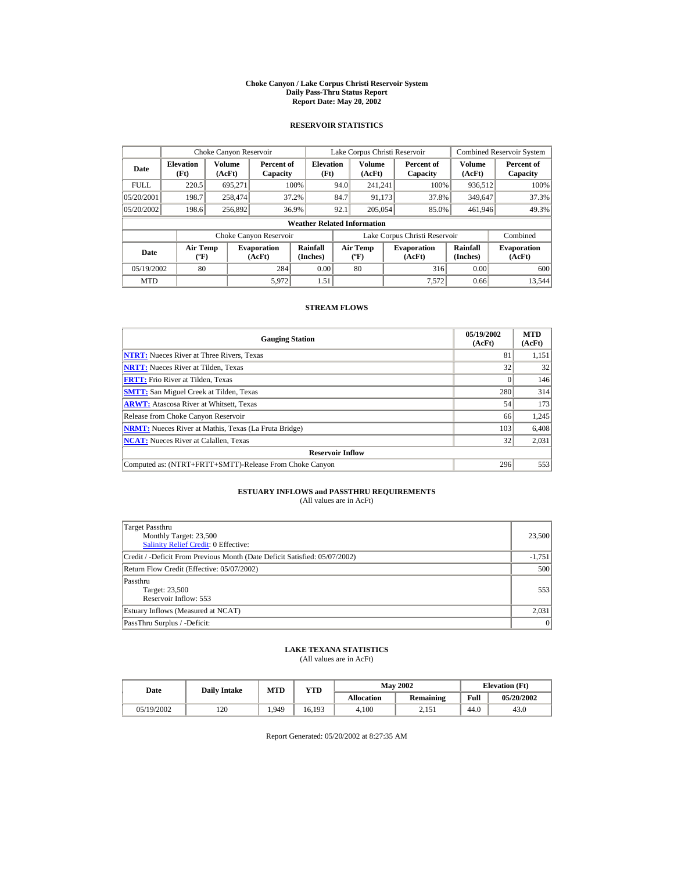#### **Choke Canyon / Lake Corpus Christi Reservoir System Daily Pass-Thru Status Report Report Date: May 20, 2002**

## **RESERVOIR STATISTICS**

|                                                      | Choke Canyon Reservoir                      |         |                              |                                    |                                           | Lake Corpus Christi Reservoir |                               | Combined Reservoir System |                              |  |
|------------------------------------------------------|---------------------------------------------|---------|------------------------------|------------------------------------|-------------------------------------------|-------------------------------|-------------------------------|---------------------------|------------------------------|--|
| Volume<br><b>Elevation</b><br>Date<br>(Ft)<br>(AcFt) |                                             |         | Percent of<br>Capacity       | <b>Elevation</b><br>(Ft)           | <b>Volume</b><br>(AcFt)                   |                               | Percent of<br>Capacity        | Volume<br>(AcFt)          | Percent of<br>Capacity       |  |
| <b>FULL</b>                                          | 220.5                                       | 695.271 |                              | 100%                               | 94.0                                      | 241.241                       | 100%                          | 936,512                   | 100%                         |  |
| 05/20/2001                                           | 198.7                                       | 258,474 |                              | 37.2%                              | 84.7                                      | 91.173                        | 37.8%                         | 349,647                   | 37.3%                        |  |
| 05/20/2002                                           | 198.6                                       | 256,892 |                              | 36.9%                              | 92.1                                      | 205,054                       | 85.0%                         | 461,946                   | 49.3%                        |  |
|                                                      |                                             |         |                              | <b>Weather Related Information</b> |                                           |                               |                               |                           |                              |  |
|                                                      |                                             |         | Choke Canyon Reservoir       |                                    |                                           |                               | Lake Corpus Christi Reservoir |                           | Combined                     |  |
| Date                                                 | <b>Air Temp</b><br>$({}^{\circ}\mathrm{F})$ |         | <b>Evaporation</b><br>(AcFt) | Rainfall<br>(Inches)               | <b>Air Temp</b><br>$({}^{\circ}\text{F})$ |                               | <b>Evaporation</b><br>(AcFt)  | Rainfall<br>(Inches)      | <b>Evaporation</b><br>(AcFt) |  |
| 05/19/2002                                           | 80                                          |         | 284                          | 0.00                               |                                           | 80                            | 316                           | 0.00                      | 600                          |  |
| <b>MTD</b>                                           |                                             |         | 5,972                        | 1.51                               |                                           |                               | 7.572                         | 0.66                      | 13.544                       |  |

## **STREAM FLOWS**

| <b>Gauging Station</b>                                       | 05/19/2002<br>(AcFt) | <b>MTD</b><br>(AcFt) |
|--------------------------------------------------------------|----------------------|----------------------|
| <b>NTRT:</b> Nueces River at Three Rivers, Texas             | 81                   | 1,151                |
| <b>NRTT:</b> Nueces River at Tilden, Texas                   | 32                   | 32                   |
| <b>FRTT:</b> Frio River at Tilden, Texas                     |                      | 146                  |
| <b>SMTT:</b> San Miguel Creek at Tilden, Texas               | 280                  | 314                  |
| <b>ARWT:</b> Atascosa River at Whitsett, Texas               | 54                   | 173                  |
| Release from Choke Canyon Reservoir                          | 66                   | 1,245                |
| <b>NRMT:</b> Nueces River at Mathis, Texas (La Fruta Bridge) | 103                  | 6,408                |
| <b>NCAT:</b> Nueces River at Calallen, Texas                 | 32                   | 2,031                |
| <b>Reservoir Inflow</b>                                      |                      |                      |
| Computed as: (NTRT+FRTT+SMTT)-Release From Choke Canyon      | 296                  | 553                  |

# **ESTUARY INFLOWS and PASSTHRU REQUIREMENTS**<br>(All values are in AcFt)

| Target Passthru<br>Monthly Target: 23,500<br>Salinity Relief Credit: 0 Effective: | 23,500   |
|-----------------------------------------------------------------------------------|----------|
| Credit / -Deficit From Previous Month (Date Deficit Satisfied: 05/07/2002)        | $-1,751$ |
| Return Flow Credit (Effective: 05/07/2002)                                        | 500      |
| Passthru<br>Target: 23,500<br>Reservoir Inflow: 553                               | 553      |
| Estuary Inflows (Measured at NCAT)                                                | 2,031    |
| PassThru Surplus / -Deficit:                                                      | 0        |

## **LAKE TEXANA STATISTICS**

(All values are in AcFt)

|  | Date       | <b>Daily Intake</b> | <b>MTD</b> | YTD    |                   | <b>May 2002</b>  | <b>Elevation</b> (Ft) |            |
|--|------------|---------------------|------------|--------|-------------------|------------------|-----------------------|------------|
|  |            |                     |            |        | <b>Allocation</b> | <b>Remaining</b> | Full                  | 05/20/2002 |
|  | 05/19/2002 | 120                 | .949       | 16.193 | 4.100             | 2.151            | 44.0                  | 43.0       |

Report Generated: 05/20/2002 at 8:27:35 AM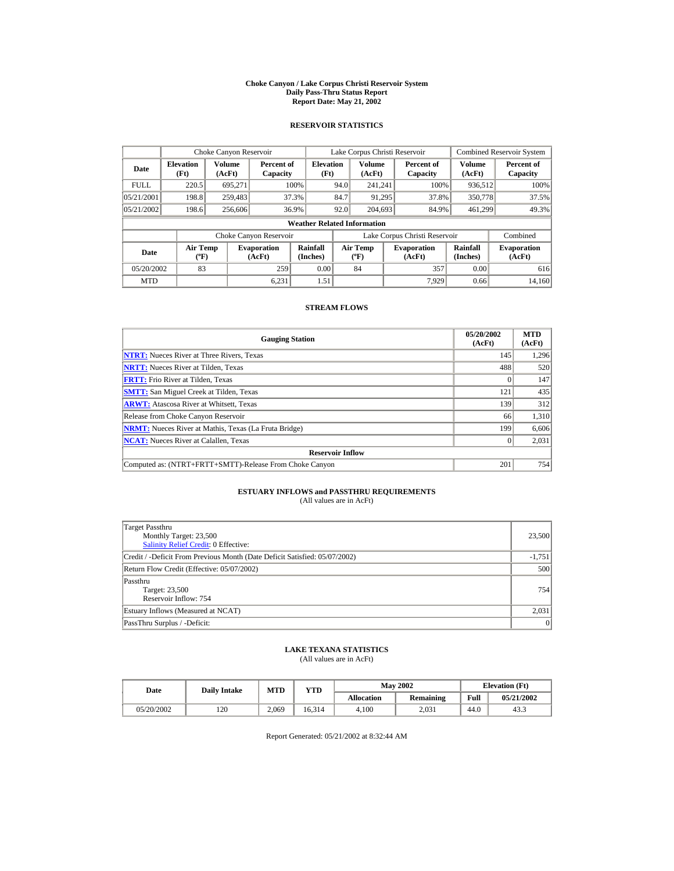#### **Choke Canyon / Lake Corpus Christi Reservoir System Daily Pass-Thru Status Report Report Date: May 21, 2002**

## **RESERVOIR STATISTICS**

|                                                      | Choke Canyon Reservoir                      |         |                              |                          | Lake Corpus Christi Reservoir               |                  |  |                               | Combined Reservoir System |                              |
|------------------------------------------------------|---------------------------------------------|---------|------------------------------|--------------------------|---------------------------------------------|------------------|--|-------------------------------|---------------------------|------------------------------|
| Volume<br><b>Elevation</b><br>Date<br>(Ft)<br>(AcFt) |                                             |         | Percent of<br>Capacity       | <b>Elevation</b><br>(Ft) |                                             | Volume<br>(AcFt) |  | Percent of<br>Capacity        | Volume<br>(AcFt)          | Percent of<br>Capacity       |
| <b>FULL</b>                                          | 220.5                                       | 695.271 |                              | 100%                     | 94.0                                        | 241.241          |  | 100%                          | 936,512                   | 100%                         |
| 05/21/2001                                           | 198.8                                       | 259,483 |                              | 37.3%                    | 84.7                                        | 91,295           |  | 37.8%                         | 350,778                   | 37.5%                        |
| 05/21/2002                                           | 198.6                                       | 256,606 |                              | 36.9%                    | 92.0                                        | 204,693          |  | 84.9%                         | 461.299                   | 49.3%                        |
| <b>Weather Related Information</b>                   |                                             |         |                              |                          |                                             |                  |  |                               |                           |                              |
|                                                      |                                             |         | Choke Canyon Reservoir       |                          |                                             |                  |  | Lake Corpus Christi Reservoir |                           | Combined                     |
| Date                                                 | <b>Air Temp</b><br>$({}^{\circ}\mathrm{F})$ |         | <b>Evaporation</b><br>(AcFt) | Rainfall<br>(Inches)     | <b>Air Temp</b><br>$({}^{\circ}\mathbf{F})$ |                  |  | <b>Evaporation</b><br>(AcFt)  | Rainfall<br>(Inches)      | <b>Evaporation</b><br>(AcFt) |
| 05/20/2002                                           | 83                                          |         | 259                          | 0.00                     |                                             | 84               |  | 357                           | 0.00                      | 616                          |
| <b>MTD</b>                                           |                                             |         | 6.231                        | 1.51                     |                                             |                  |  | 7.929                         | 0.66                      | 14.160                       |

## **STREAM FLOWS**

| <b>Gauging Station</b>                                       | 05/20/2002<br>(AcFt) | <b>MTD</b><br>(AcFt) |
|--------------------------------------------------------------|----------------------|----------------------|
| <b>NTRT:</b> Nueces River at Three Rivers, Texas             | 145                  | 1,296                |
| <b>NRTT:</b> Nueces River at Tilden, Texas                   | 488                  | 520                  |
| <b>FRTT:</b> Frio River at Tilden, Texas                     |                      | 147                  |
| <b>SMTT:</b> San Miguel Creek at Tilden, Texas               | 121                  | 435                  |
| <b>ARWT:</b> Atascosa River at Whitsett, Texas               | 139                  | 312                  |
| Release from Choke Canyon Reservoir                          | 66                   | 1,310                |
| <b>NRMT:</b> Nueces River at Mathis, Texas (La Fruta Bridge) | 199                  | 6,606                |
| <b>NCAT:</b> Nueces River at Calallen, Texas                 |                      | 2,031                |
| <b>Reservoir Inflow</b>                                      |                      |                      |
| Computed as: (NTRT+FRTT+SMTT)-Release From Choke Canyon      | 201                  | 754                  |

# **ESTUARY INFLOWS and PASSTHRU REQUIREMENTS**<br>(All values are in AcFt)

| Target Passthru<br>Monthly Target: 23,500<br><b>Salinity Relief Credit: 0 Effective:</b> | 23,500   |
|------------------------------------------------------------------------------------------|----------|
| Credit / -Deficit From Previous Month (Date Deficit Satisfied: 05/07/2002)               | $-1,751$ |
| Return Flow Credit (Effective: 05/07/2002)                                               | 500      |
| Passthru<br>Target: 23,500<br>Reservoir Inflow: 754                                      | 754      |
| Estuary Inflows (Measured at NCAT)                                                       | 2,031    |
| PassThru Surplus / -Deficit:                                                             | 0        |

## **LAKE TEXANA STATISTICS**

(All values are in AcFt)

| Date       | <b>Daily Intake</b> | MTD   | $_{\rm VTD}$ |            | <b>May 2002</b> | <b>Elevation</b> (Ft) |            |
|------------|---------------------|-------|--------------|------------|-----------------|-----------------------|------------|
|            |                     |       |              | Allocation | Remaining       | Full                  | 05/21/2002 |
| 05/20/2002 | 120                 | 2.069 | 16.314       | 4.100      | 2.031           | 44.0                  | 43.3       |

Report Generated: 05/21/2002 at 8:32:44 AM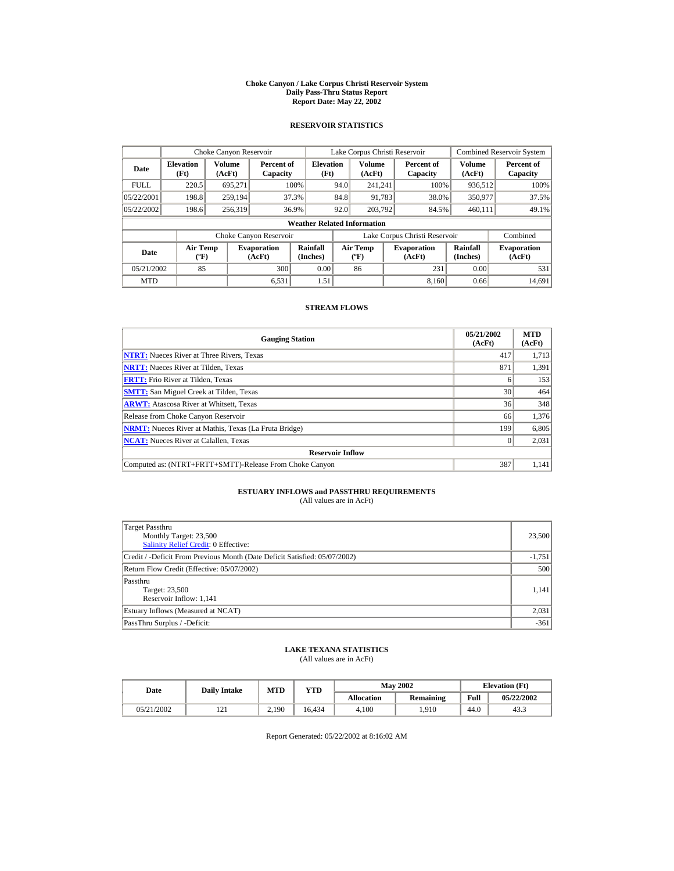#### **Choke Canyon / Lake Corpus Christi Reservoir System Daily Pass-Thru Status Report Report Date: May 22, 2002**

## **RESERVOIR STATISTICS**

|             | Choke Canyon Reservoir                      |                  |                              |                                    | Lake Corpus Christi Reservoir |                                             |  |                               |                      | <b>Combined Reservoir System</b> |
|-------------|---------------------------------------------|------------------|------------------------------|------------------------------------|-------------------------------|---------------------------------------------|--|-------------------------------|----------------------|----------------------------------|
| Date        | <b>Elevation</b><br>(Ft)                    | Volume<br>(AcFt) | Percent of<br>Capacity       | <b>Elevation</b><br>(Ft)           |                               | Volume<br>(AcFt)                            |  | Percent of<br>Capacity        | Volume<br>(AcFt)     | Percent of<br>Capacity           |
| <b>FULL</b> | 220.5                                       | 695.271          |                              | 100%                               | 94.0                          | 241.241                                     |  | 100%                          | 936,512              | 100%                             |
| 05/22/2001  | 198.8                                       | 259,194          |                              | 37.3%                              | 84.8                          | 91,783                                      |  | 38.0%                         | 350,977              | 37.5%                            |
| 05/22/2002  | 198.6                                       | 256,319          |                              | 36.9%                              | 92.0                          | 203.792                                     |  | 84.5%                         | 460,111              | 49.1%                            |
|             |                                             |                  |                              | <b>Weather Related Information</b> |                               |                                             |  |                               |                      |                                  |
|             |                                             |                  | Choke Canyon Reservoir       |                                    |                               |                                             |  | Lake Corpus Christi Reservoir |                      | Combined                         |
| Date        | <b>Air Temp</b><br>$({}^{\circ}\mathrm{F})$ |                  | <b>Evaporation</b><br>(AcFt) | Rainfall<br>(Inches)               |                               | <b>Air Temp</b><br>$({}^{\circ}\mathbf{F})$ |  | <b>Evaporation</b><br>(AcFt)  | Rainfall<br>(Inches) | <b>Evaporation</b><br>(AcFt)     |
| 05/21/2002  | 85                                          |                  | 300                          | 0.00                               |                               | 86                                          |  | 231                           | 0.00                 | 531                              |
| <b>MTD</b>  |                                             |                  | 6.531                        | 1.51                               |                               |                                             |  | 8.160                         | 0.66                 | 14.691                           |

## **STREAM FLOWS**

| <b>Gauging Station</b>                                       | 05/21/2002<br>(AcFt) | <b>MTD</b><br>(AcFt) |
|--------------------------------------------------------------|----------------------|----------------------|
| <b>NTRT:</b> Nueces River at Three Rivers, Texas             | 417                  | 1,713                |
| <b>NRTT:</b> Nueces River at Tilden, Texas                   | 871                  | 1,391                |
| <b>FRTT:</b> Frio River at Tilden, Texas                     |                      | 153                  |
| <b>SMTT:</b> San Miguel Creek at Tilden, Texas               | 30                   | 464                  |
| <b>ARWT:</b> Atascosa River at Whitsett, Texas               | 36                   | 348                  |
| Release from Choke Canyon Reservoir                          | 66                   | 1,376                |
| <b>NRMT:</b> Nueces River at Mathis, Texas (La Fruta Bridge) | 199                  | 6,805                |
| <b>NCAT:</b> Nueces River at Calallen, Texas                 |                      | 2,031                |
| <b>Reservoir Inflow</b>                                      |                      |                      |
| Computed as: (NTRT+FRTT+SMTT)-Release From Choke Canyon      | 387                  | 1,141                |

# **ESTUARY INFLOWS and PASSTHRU REQUIREMENTS**<br>(All values are in AcFt)

| Target Passthru<br>Monthly Target: 23,500<br><b>Salinity Relief Credit: 0 Effective:</b> | 23,500   |  |  |  |  |
|------------------------------------------------------------------------------------------|----------|--|--|--|--|
| Credit / -Deficit From Previous Month (Date Deficit Satisfied: 05/07/2002)               | $-1,751$ |  |  |  |  |
| Return Flow Credit (Effective: 05/07/2002)                                               |          |  |  |  |  |
| Passthru<br>Target: 23,500<br>Reservoir Inflow: 1,141                                    | 1,141    |  |  |  |  |
| Estuary Inflows (Measured at NCAT)                                                       |          |  |  |  |  |
| PassThru Surplus / -Deficit:                                                             | $-361$   |  |  |  |  |

## **LAKE TEXANA STATISTICS**

(All values are in AcFt)

| Date       | <b>Daily Intake</b> | <b>MTD</b> | YTD    |                   | <b>May 2002</b> | <b>Elevation</b> (Ft) |            |
|------------|---------------------|------------|--------|-------------------|-----------------|-----------------------|------------|
|            |                     |            |        | <b>Allocation</b> | Remaining       | Full                  | 05/22/2002 |
| 05/21/2002 | 1/1                 | 2.190      | 16.434 | 4.100             | .910            | 44.0                  | 43.3       |

Report Generated: 05/22/2002 at 8:16:02 AM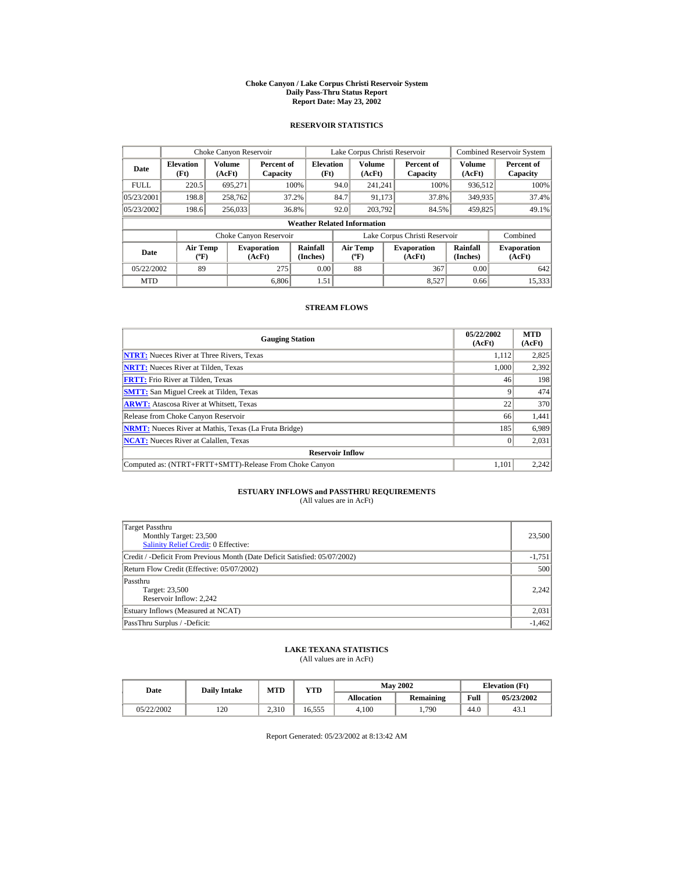#### **Choke Canyon / Lake Corpus Christi Reservoir System Daily Pass-Thru Status Report Report Date: May 23, 2002**

## **RESERVOIR STATISTICS**

|             | Choke Canyon Reservoir               |                  |                              |                                    | Lake Corpus Christi Reservoir |                                                  |  |                               |                         | <b>Combined Reservoir System</b> |  |  |
|-------------|--------------------------------------|------------------|------------------------------|------------------------------------|-------------------------------|--------------------------------------------------|--|-------------------------------|-------------------------|----------------------------------|--|--|
| Date        | <b>Elevation</b><br>(Ft)             | Volume<br>(AcFt) | Percent of<br>Capacity       | <b>Elevation</b><br>(Ft)           |                               | <b>Volume</b><br>(AcFt)                          |  | Percent of<br>Capacity        | <b>Volume</b><br>(AcFt) | Percent of<br>Capacity           |  |  |
| <b>FULL</b> | 220.5                                | 695,271          |                              | 100%                               | 94.0                          | 241.241                                          |  | 100%                          | 936,512                 | 100%                             |  |  |
| 05/23/2001  | 198.8                                | 258,762          |                              | 37.2%                              | 84.7                          | 91,173                                           |  | 37.8%                         | 349,935                 | 37.4%                            |  |  |
| 05/23/2002  | 198.6                                | 256,033          |                              | 36.8%                              | 92.0                          | 203.792                                          |  | 84.5%                         | 459,825                 | 49.1%                            |  |  |
|             |                                      |                  |                              | <b>Weather Related Information</b> |                               |                                                  |  |                               |                         |                                  |  |  |
|             |                                      |                  | Choke Canyon Reservoir       |                                    |                               |                                                  |  | Lake Corpus Christi Reservoir |                         | Combined                         |  |  |
| Date        | Air Temp<br>$({}^{\circ}\mathrm{F})$ |                  | <b>Evaporation</b><br>(AcFt) | Rainfall<br>(Inches)               |                               | <b>Air Temp</b><br>$({}^{\mathrm{o}}\mathrm{F})$ |  | <b>Evaporation</b><br>(AcFt)  | Rainfall<br>(Inches)    | <b>Evaporation</b><br>(AcFt)     |  |  |
| 05/22/2002  | 89                                   |                  | 275                          | 0.00                               |                               | 88                                               |  | 367                           | 0.00                    | 642                              |  |  |
| <b>MTD</b>  |                                      |                  | 6.806                        | 1.51                               |                               |                                                  |  | 8.527                         | 0.66                    | 15,333                           |  |  |

## **STREAM FLOWS**

| <b>Gauging Station</b>                                       | 05/22/2002<br>(AcFt) | <b>MTD</b><br>(AcFt) |
|--------------------------------------------------------------|----------------------|----------------------|
| <b>NTRT:</b> Nueces River at Three Rivers, Texas             | 1.112                | 2,825                |
| <b>NRTT:</b> Nueces River at Tilden, Texas                   | 1.000                | 2,392                |
| <b>FRTT:</b> Frio River at Tilden, Texas                     | 46                   | 198                  |
| <b>SMTT:</b> San Miguel Creek at Tilden, Texas               |                      | 474                  |
| <b>ARWT:</b> Atascosa River at Whitsett, Texas               | 22                   | 370                  |
| Release from Choke Canyon Reservoir                          | 66                   | 1,441                |
| <b>NRMT:</b> Nueces River at Mathis, Texas (La Fruta Bridge) | 185                  | 6,989                |
| <b>NCAT:</b> Nueces River at Calallen, Texas                 |                      | 2,031                |
| <b>Reservoir Inflow</b>                                      |                      |                      |
| Computed as: (NTRT+FRTT+SMTT)-Release From Choke Canyon      | 1.101                | 2,242                |

# **ESTUARY INFLOWS and PASSTHRU REQUIREMENTS**<br>(All values are in AcFt)

| Target Passthru<br>Monthly Target: 23,500<br><b>Salinity Relief Credit: 0 Effective:</b> | 23,500   |  |  |  |  |
|------------------------------------------------------------------------------------------|----------|--|--|--|--|
| Credit / -Deficit From Previous Month (Date Deficit Satisfied: 05/07/2002)               | $-1,751$ |  |  |  |  |
| Return Flow Credit (Effective: 05/07/2002)                                               |          |  |  |  |  |
| Passthru<br>Target: 23,500<br>Reservoir Inflow: 2.242                                    | 2.242    |  |  |  |  |
| Estuary Inflows (Measured at NCAT)                                                       |          |  |  |  |  |
| PassThru Surplus / -Deficit:                                                             | $-1,462$ |  |  |  |  |

## **LAKE TEXANA STATISTICS**

(All values are in AcFt)

| Date       | <b>Daily Intake</b> | <b>MTD</b><br>YTD |        |                   | <b>May 2002</b> | <b>Elevation</b> (Ft) |            |
|------------|---------------------|-------------------|--------|-------------------|-----------------|-----------------------|------------|
|            |                     |                   |        | <b>Allocation</b> | Remaining       | Full                  | 05/23/2002 |
| 05/22/2002 | 120                 | 2.310             | 16.555 | 4.100             | 1,790           | 44.0                  | 43.1       |

Report Generated: 05/23/2002 at 8:13:42 AM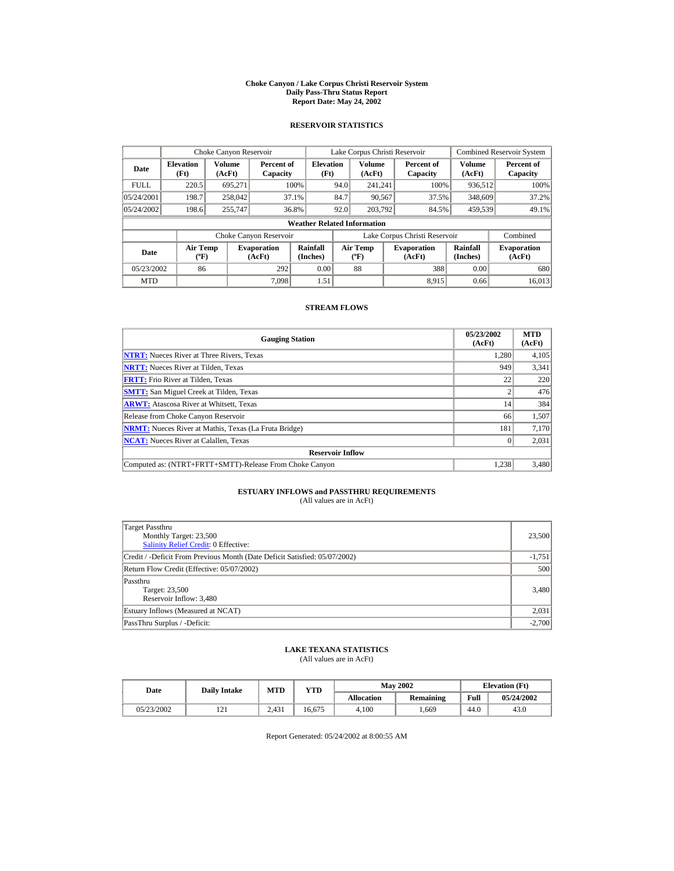#### **Choke Canyon / Lake Corpus Christi Reservoir System Daily Pass-Thru Status Report Report Date: May 24, 2002**

## **RESERVOIR STATISTICS**

|             | Choke Canyon Reservoir                      |                  |                              |                                    | Lake Corpus Christi Reservoir |                                                  |  |                               |                         | <b>Combined Reservoir System</b> |  |  |
|-------------|---------------------------------------------|------------------|------------------------------|------------------------------------|-------------------------------|--------------------------------------------------|--|-------------------------------|-------------------------|----------------------------------|--|--|
| Date        | <b>Elevation</b><br>(Ft)                    | Volume<br>(AcFt) | Percent of<br>Capacity       | <b>Elevation</b><br>(Ft)           |                               | <b>Volume</b><br>(AcFt)                          |  | Percent of<br>Capacity        | <b>Volume</b><br>(AcFt) | Percent of<br>Capacity           |  |  |
| <b>FULL</b> | 220.5                                       | 695.271          |                              | 100%                               | 94.0                          | 241.241                                          |  | 100%                          | 936,512                 | 100%                             |  |  |
| 05/24/2001  | 198.7                                       | 258,042          |                              | 37.1%                              | 84.7                          | 90,567                                           |  | 37.5%                         | 348,609                 | 37.2%                            |  |  |
| 05/24/2002  | 198.6                                       | 255,747          |                              | 36.8%                              | 92.0                          | 203.792                                          |  | 84.5%                         | 459.539                 | 49.1%                            |  |  |
|             |                                             |                  |                              | <b>Weather Related Information</b> |                               |                                                  |  |                               |                         |                                  |  |  |
|             |                                             |                  | Choke Canyon Reservoir       |                                    |                               |                                                  |  | Lake Corpus Christi Reservoir |                         | Combined                         |  |  |
| Date        | <b>Air Temp</b><br>$({}^{\circ}\mathrm{F})$ |                  | <b>Evaporation</b><br>(AcFt) | Rainfall<br>(Inches)               |                               | <b>Air Temp</b><br>$({}^{\mathrm{o}}\mathrm{F})$ |  | <b>Evaporation</b><br>(AcFt)  | Rainfall<br>(Inches)    | <b>Evaporation</b><br>(AcFt)     |  |  |
| 05/23/2002  | 86                                          |                  | 292                          | 0.00                               |                               | 88                                               |  | 388                           | 0.00                    | 680                              |  |  |
| <b>MTD</b>  |                                             |                  | 7.098                        | 1.51                               |                               |                                                  |  | 8.915                         | 0.66                    | 16.013                           |  |  |

## **STREAM FLOWS**

| <b>Gauging Station</b>                                       | 05/23/2002<br>(AcFt) | <b>MTD</b><br>(AcFt) |
|--------------------------------------------------------------|----------------------|----------------------|
| <b>NTRT:</b> Nueces River at Three Rivers, Texas             | 1.280                | 4,105                |
| <b>NRTT:</b> Nueces River at Tilden, Texas                   | 949                  | 3,341                |
| <b>FRTT:</b> Frio River at Tilden, Texas                     | 22                   | 220                  |
| <b>SMTT:</b> San Miguel Creek at Tilden, Texas               |                      | 476                  |
| <b>ARWT:</b> Atascosa River at Whitsett, Texas               | 14                   | 384                  |
| Release from Choke Canyon Reservoir                          | 66                   | 1,507                |
| <b>NRMT:</b> Nueces River at Mathis, Texas (La Fruta Bridge) | 181                  | 7,170                |
| <b>NCAT:</b> Nueces River at Calallen, Texas                 |                      | 2,031                |
| <b>Reservoir Inflow</b>                                      |                      |                      |
| Computed as: (NTRT+FRTT+SMTT)-Release From Choke Canyon      | 1.238                | 3,480                |

# **ESTUARY INFLOWS and PASSTHRU REQUIREMENTS**<br>(All values are in AcFt)

| Target Passthru<br>Monthly Target: 23,500<br><b>Salinity Relief Credit: 0 Effective:</b> | 23,500   |
|------------------------------------------------------------------------------------------|----------|
| Credit / -Deficit From Previous Month (Date Deficit Satisfied: 05/07/2002)               | $-1,751$ |
| Return Flow Credit (Effective: 05/07/2002)                                               | 500      |
| Passthru<br>Target: 23,500<br>Reservoir Inflow: 3,480                                    | 3,480    |
| Estuary Inflows (Measured at NCAT)                                                       | 2,031    |
| PassThru Surplus / -Deficit:                                                             | $-2,700$ |

## **LAKE TEXANA STATISTICS**

(All values are in AcFt)

| Date       | <b>Daily Intake</b> | MTD<br>$_{\rm VTD}$ |        | <b>May 2002</b> | <b>Elevation</b> (Ft) |      |            |
|------------|---------------------|---------------------|--------|-----------------|-----------------------|------|------------|
|            |                     |                     |        | Allocation      | Remaining             | Full | 05/24/2002 |
| 05/23/2002 | 1/1                 | 2.431               | 16.675 | 4.100           | .669                  | 44.0 | 43.0       |

Report Generated: 05/24/2002 at 8:00:55 AM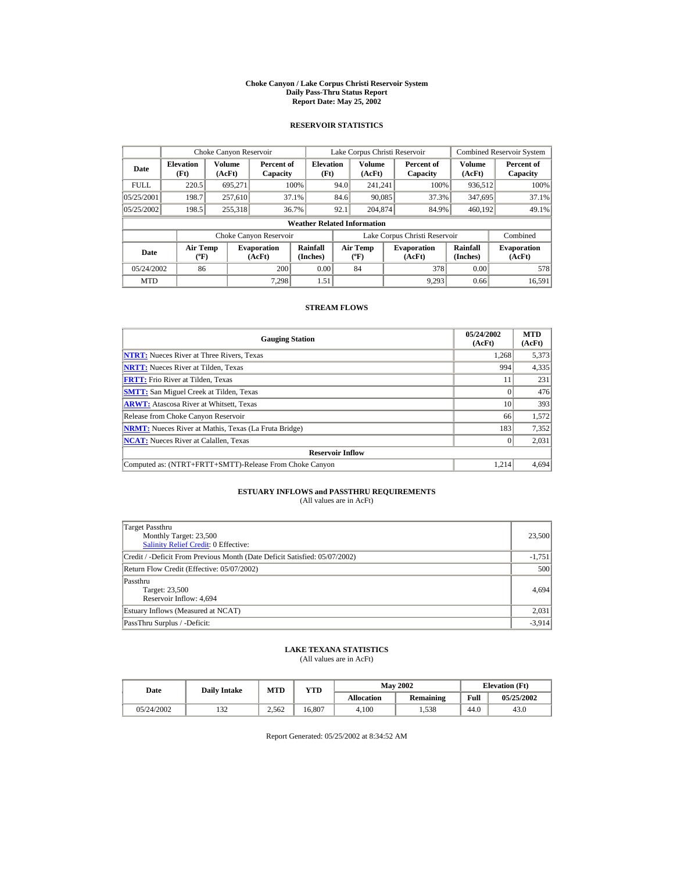#### **Choke Canyon / Lake Corpus Christi Reservoir System Daily Pass-Thru Status Report Report Date: May 25, 2002**

## **RESERVOIR STATISTICS**

|             | Choke Canyon Reservoir                |                  |                              |                                    | Lake Corpus Christi Reservoir |                                          |  |                               |                      | <b>Combined Reservoir System</b> |
|-------------|---------------------------------------|------------------|------------------------------|------------------------------------|-------------------------------|------------------------------------------|--|-------------------------------|----------------------|----------------------------------|
| Date        | <b>Elevation</b><br>(Ft)              | Volume<br>(AcFt) | Percent of<br>Capacity       | <b>Elevation</b><br>(Ft)           |                               | <b>Volume</b><br>(AcFt)                  |  | Percent of<br>Capacity        | Volume<br>(AcFt)     | Percent of<br>Capacity           |
| <b>FULL</b> | 220.5                                 | 695.271          |                              | 100%                               | 94.0                          | 241.241                                  |  | 100%                          | 936,512              | 100%                             |
| 05/25/2001  | 198.7                                 | 257,610          |                              | 37.1%                              | 84.6                          | 90,085                                   |  | 37.3%                         | 347,695              | 37.1%                            |
| 05/25/2002  | 198.5                                 | 255,318          |                              | 36.7%                              | 92.1                          | 204,874                                  |  | 84.9%                         | 460,192              | 49.1%                            |
|             |                                       |                  |                              | <b>Weather Related Information</b> |                               |                                          |  |                               |                      |                                  |
|             |                                       |                  | Choke Canyon Reservoir       |                                    |                               |                                          |  | Lake Corpus Christi Reservoir |                      | Combined                         |
| <b>Date</b> | <b>Air Temp</b><br>$({}^o\mathrm{F})$ |                  | <b>Evaporation</b><br>(AcFt) | Rainfall<br>(Inches)               |                               | <b>Air Temp</b><br>$({}^{\circ}{\rm F})$ |  | <b>Evaporation</b><br>(AcFt)  | Rainfall<br>(Inches) | <b>Evaporation</b><br>(AcFt)     |
| 05/24/2002  | 86                                    |                  | 200                          | 0.00                               |                               | 84                                       |  | 378                           | 0.00                 | 578                              |
| <b>MTD</b>  |                                       |                  | 7.298                        | 1.51                               |                               |                                          |  | 9.293                         | 0.66                 | 16.591                           |

## **STREAM FLOWS**

| <b>Gauging Station</b>                                       | 05/24/2002<br>(AcFt) | <b>MTD</b><br>(AcFt) |
|--------------------------------------------------------------|----------------------|----------------------|
| <b>NTRT:</b> Nueces River at Three Rivers, Texas             | 1.268                | 5,373                |
| <b>NRTT:</b> Nueces River at Tilden, Texas                   | 994                  | 4,335                |
| <b>FRTT:</b> Frio River at Tilden, Texas                     |                      | 231                  |
| <b>SMTT:</b> San Miguel Creek at Tilden, Texas               | $\Omega$             | 476                  |
| <b>ARWT:</b> Atascosa River at Whitsett, Texas               | 10                   | 393                  |
| Release from Choke Canyon Reservoir                          | 66                   | 1,572                |
| <b>NRMT:</b> Nueces River at Mathis, Texas (La Fruta Bridge) | 183                  | 7,352                |
| <b>NCAT:</b> Nueces River at Calallen, Texas                 |                      | 2,031                |
| <b>Reservoir Inflow</b>                                      |                      |                      |
| Computed as: (NTRT+FRTT+SMTT)-Release From Choke Canyon      | 1.214                | 4,694                |

# **ESTUARY INFLOWS and PASSTHRU REQUIREMENTS**<br>(All values are in AcFt)

| Target Passthru<br>Monthly Target: 23,500<br><b>Salinity Relief Credit: 0 Effective:</b> | 23,500   |
|------------------------------------------------------------------------------------------|----------|
| Credit / -Deficit From Previous Month (Date Deficit Satisfied: 05/07/2002)               | $-1,751$ |
| Return Flow Credit (Effective: 05/07/2002)                                               | 500      |
| Passthru<br>Target: 23,500<br>Reservoir Inflow: 4,694                                    | 4.694    |
| Estuary Inflows (Measured at NCAT)                                                       | 2,031    |
| PassThru Surplus / -Deficit:                                                             | $-3,914$ |

## **LAKE TEXANA STATISTICS**

(All values are in AcFt)

| Date       |               | MTD<br>YTD<br><b>Daily Intake</b> |        |            | <b>May 2002</b> | <b>Elevation</b> (Ft) |            |
|------------|---------------|-----------------------------------|--------|------------|-----------------|-----------------------|------------|
|            |               |                                   |        | Allocation | Remaining       | Full                  | 05/25/2002 |
| 05/24/2002 | $\sim$<br>194 | 2.562                             | 16.807 | 4.100      | . . 538         | 44.0                  | 43.0       |

Report Generated: 05/25/2002 at 8:34:52 AM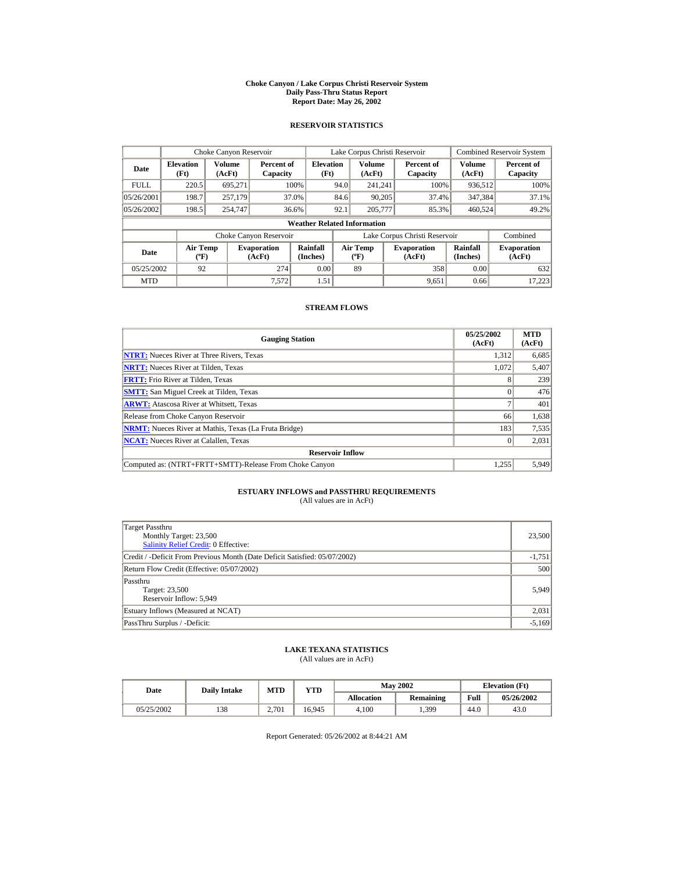#### **Choke Canyon / Lake Corpus Christi Reservoir System Daily Pass-Thru Status Report Report Date: May 26, 2002**

## **RESERVOIR STATISTICS**

|             | Choke Canyon Reservoir         |                  |                              |                                    | Lake Corpus Christi Reservoir |                                   |  |                               |                         | <b>Combined Reservoir System</b> |
|-------------|--------------------------------|------------------|------------------------------|------------------------------------|-------------------------------|-----------------------------------|--|-------------------------------|-------------------------|----------------------------------|
| Date        | <b>Elevation</b><br>(Ft)       | Volume<br>(AcFt) | Percent of<br>Capacity       | <b>Elevation</b><br>(Ft)           |                               | <b>Volume</b><br>(AcFt)           |  | Percent of<br>Capacity        | <b>Volume</b><br>(AcFt) | Percent of<br>Capacity           |
| <b>FULL</b> | 220.5                          | 695.271          |                              | 100%                               | 94.0                          | 241.241                           |  | 100%                          | 936,512                 | 100%                             |
| 05/26/2001  | 198.7                          | 257,179          |                              | 37.0%                              | 84.6                          | 90.205                            |  | 37.4%                         | 347.384                 | 37.1%                            |
| 05/26/2002  | 198.5                          | 254,747          |                              | 36.6%                              | 92.1                          | 205,777                           |  | 85.3%                         | 460.524                 | 49.2%                            |
|             |                                |                  |                              | <b>Weather Related Information</b> |                               |                                   |  |                               |                         |                                  |
|             |                                |                  | Choke Canyon Reservoir       |                                    |                               |                                   |  | Lake Corpus Christi Reservoir |                         | Combined                         |
| Date        | Air Temp<br>$({}^o\mathrm{F})$ |                  | <b>Evaporation</b><br>(AcFt) | Rainfall<br>(Inches)               |                               | Air Temp<br>$({}^{\circ}{\rm F})$ |  | <b>Evaporation</b><br>(AcFt)  | Rainfall<br>(Inches)    | <b>Evaporation</b><br>(AcFt)     |
| 05/25/2002  | 92                             |                  | 274                          | 0.00                               |                               | 89                                |  | 358                           | 0.00                    | 632                              |
| <b>MTD</b>  |                                |                  | 7,572                        | 1.51                               |                               |                                   |  | 9,651                         | 0.66                    | 17.223                           |

## **STREAM FLOWS**

| <b>Gauging Station</b>                                       | 05/25/2002<br>(AcFt) | <b>MTD</b><br>(AcFt) |
|--------------------------------------------------------------|----------------------|----------------------|
| <b>NTRT:</b> Nueces River at Three Rivers, Texas             | 1,312                | 6,685                |
| <b>NRTT:</b> Nueces River at Tilden, Texas                   | 1.072                | 5,407                |
| <b>FRTT:</b> Frio River at Tilden, Texas                     |                      | 239                  |
| <b>SMTT:</b> San Miguel Creek at Tilden, Texas               |                      | 476                  |
| <b>ARWT:</b> Atascosa River at Whitsett, Texas               |                      | 401                  |
| Release from Choke Canyon Reservoir                          | 66                   | 1,638                |
| <b>NRMT:</b> Nueces River at Mathis, Texas (La Fruta Bridge) | 183                  | 7,535                |
| <b>NCAT:</b> Nueces River at Calallen, Texas                 |                      | 2,031                |
| <b>Reservoir Inflow</b>                                      |                      |                      |
| Computed as: (NTRT+FRTT+SMTT)-Release From Choke Canyon      | 1,255                | 5,949                |

# **ESTUARY INFLOWS and PASSTHRU REQUIREMENTS**<br>(All values are in AcFt)

| Target Passthru<br>Monthly Target: 23,500<br><b>Salinity Relief Credit: 0 Effective:</b> | 23,500   |
|------------------------------------------------------------------------------------------|----------|
| Credit / -Deficit From Previous Month (Date Deficit Satisfied: 05/07/2002)               | $-1,751$ |
| Return Flow Credit (Effective: 05/07/2002)                                               | 500      |
| Passthru<br>Target: 23,500<br>Reservoir Inflow: 5,949                                    | 5,949    |
| Estuary Inflows (Measured at NCAT)                                                       | 2,031    |
| PassThru Surplus / -Deficit:                                                             | $-5,169$ |

## **LAKE TEXANA STATISTICS**

(All values are in AcFt)

| Date       | <b>Daily Intake</b> | MTD   | $_{\rm VTD}$ |            | <b>May 2002</b> | <b>Elevation</b> (Ft) |            |  |
|------------|---------------------|-------|--------------|------------|-----------------|-----------------------|------------|--|
|            |                     |       |              | Allocation | Remaining       | Full                  | 05/26/2002 |  |
| 05/25/2002 | 138                 | 2.701 | 16.945       | 4.100      | 1,399           | 44.0                  | 43.0       |  |

Report Generated: 05/26/2002 at 8:44:21 AM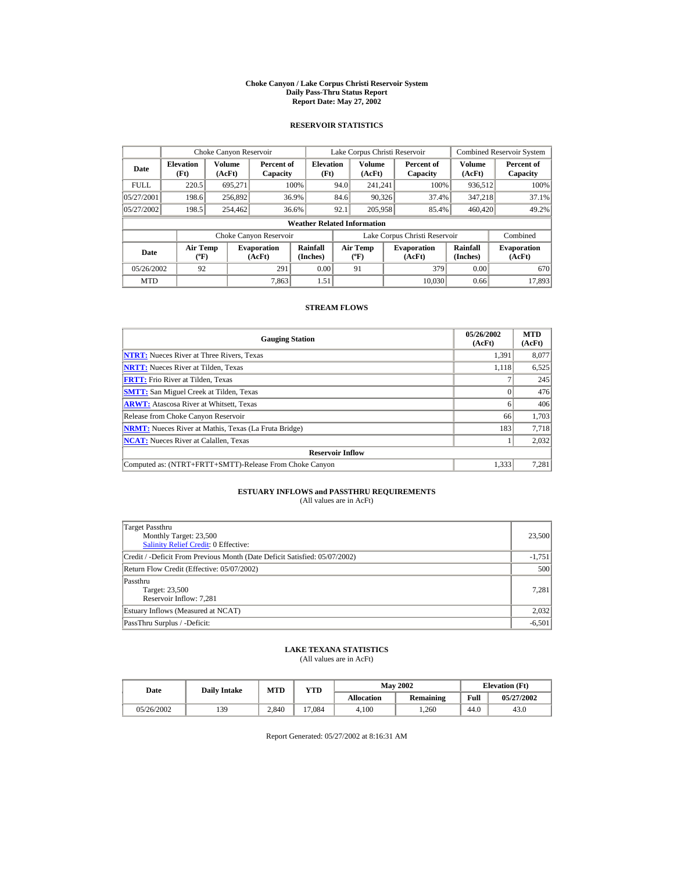#### **Choke Canyon / Lake Corpus Christi Reservoir System Daily Pass-Thru Status Report Report Date: May 27, 2002**

## **RESERVOIR STATISTICS**

|             | Choke Canyon Reservoir                      |                  |                              |                                    | Lake Corpus Christi Reservoir |                                           |  |                               |                      | <b>Combined Reservoir System</b> |
|-------------|---------------------------------------------|------------------|------------------------------|------------------------------------|-------------------------------|-------------------------------------------|--|-------------------------------|----------------------|----------------------------------|
| Date        | <b>Elevation</b><br>(Ft)                    | Volume<br>(AcFt) | Percent of<br>Capacity       | <b>Elevation</b><br>(Ft)           |                               | Volume<br>(AcFt)                          |  | Percent of<br>Capacity        | Volume<br>(AcFt)     | Percent of<br>Capacity           |
| <b>FULL</b> | 220.5                                       | 695,271          |                              | 100%                               | 94.0                          | 241.241                                   |  | 100%                          | 936,512              | 100%                             |
| 05/27/2001  | 198.6                                       | 256,892          |                              | 36.9%                              | 84.6                          | 90,326                                    |  | 37.4%                         | 347.218              | 37.1%                            |
| 05/27/2002  | 198.5                                       | 254,462          |                              | 36.6%                              | 92.1                          | 205,958                                   |  | 85.4%                         | 460,420              | 49.2%                            |
|             |                                             |                  |                              | <b>Weather Related Information</b> |                               |                                           |  |                               |                      |                                  |
|             |                                             |                  | Choke Canyon Reservoir       |                                    |                               |                                           |  | Lake Corpus Christi Reservoir |                      | Combined                         |
| Date        | <b>Air Temp</b><br>$({}^{\circ}\mathrm{F})$ |                  | <b>Evaporation</b><br>(AcFt) | Rainfall<br>(Inches)               |                               | <b>Air Temp</b><br>$({}^{\circ}\text{F})$ |  | <b>Evaporation</b><br>(AcFt)  | Rainfall<br>(Inches) | <b>Evaporation</b><br>(AcFt)     |
| 05/26/2002  | 92                                          |                  | 291                          | 0.00                               |                               | 91                                        |  | 379                           | 0.00                 | 670                              |
| <b>MTD</b>  |                                             |                  | 7.863                        | 1.51                               |                               |                                           |  | 10.030                        | 0.66                 | 17.893                           |

## **STREAM FLOWS**

| <b>Gauging Station</b>                                       | 05/26/2002<br>(AcFt) | <b>MTD</b><br>(AcFt) |
|--------------------------------------------------------------|----------------------|----------------------|
| <b>NTRT:</b> Nueces River at Three Rivers, Texas             | 1,391                | 8,077                |
| <b>NRTT:</b> Nueces River at Tilden, Texas                   | 1.118                | 6,525                |
| <b>FRTT:</b> Frio River at Tilden, Texas                     |                      | 245                  |
| <b>SMTT:</b> San Miguel Creek at Tilden, Texas               |                      | 476                  |
| <b>ARWT:</b> Atascosa River at Whitsett, Texas               | n                    | 406                  |
| Release from Choke Canyon Reservoir                          | 66                   | 1,703                |
| <b>NRMT:</b> Nueces River at Mathis, Texas (La Fruta Bridge) | 183                  | 7,718                |
| <b>NCAT:</b> Nueces River at Calallen, Texas                 |                      | 2,032                |
| <b>Reservoir Inflow</b>                                      |                      |                      |
| Computed as: (NTRT+FRTT+SMTT)-Release From Choke Canyon      | 1,333                | 7,281                |

# **ESTUARY INFLOWS and PASSTHRU REQUIREMENTS**<br>(All values are in AcFt)

| Target Passthru<br>Monthly Target: 23,500<br>Salinity Relief Credit: 0 Effective: | 23,500   |
|-----------------------------------------------------------------------------------|----------|
| Credit / -Deficit From Previous Month (Date Deficit Satisfied: 05/07/2002)        | $-1,751$ |
| Return Flow Credit (Effective: 05/07/2002)                                        | 500      |
| Passthru<br>Target: 23,500<br>Reservoir Inflow: 7.281                             | 7.281    |
| Estuary Inflows (Measured at NCAT)                                                | 2,032    |
| PassThru Surplus / -Deficit:                                                      | $-6,501$ |

## **LAKE TEXANA STATISTICS**

(All values are in AcFt)

| Date       | <b>Daily Intake</b> |       | <b>May 2002</b><br>MTD<br>$_{\rm VTD}$ |            |           | <b>Elevation</b> (Ft) |            |
|------------|---------------------|-------|----------------------------------------|------------|-----------|-----------------------|------------|
|            |                     |       |                                        | Allocation | Remaining | Full                  | 05/27/2002 |
| 05/26/2002 | 139                 | 2.840 | 0.7084                                 | 4.100      | .260      | 44.0                  | 43.0       |

Report Generated: 05/27/2002 at 8:16:31 AM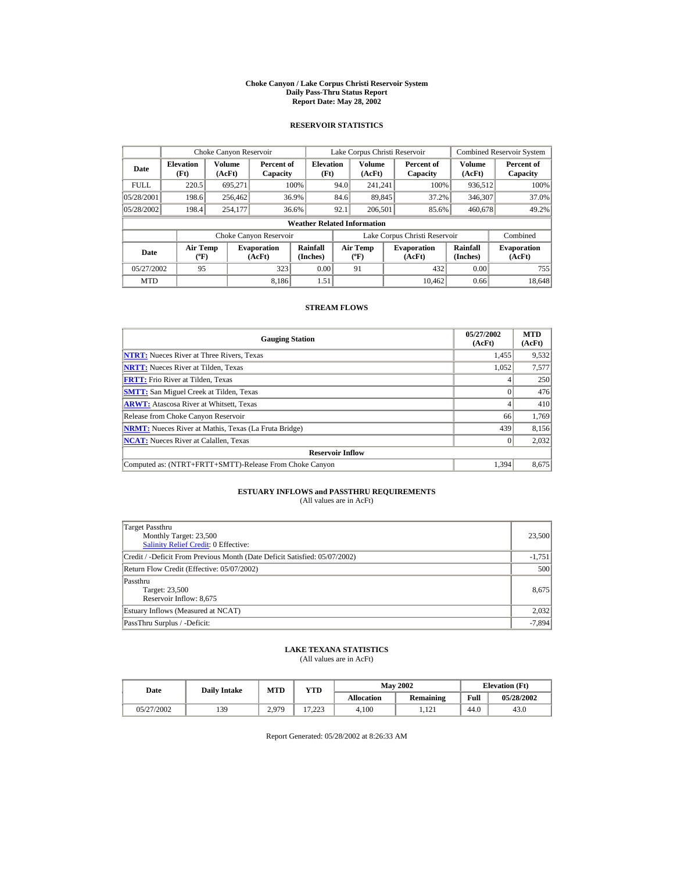#### **Choke Canyon / Lake Corpus Christi Reservoir System Daily Pass-Thru Status Report Report Date: May 28, 2002**

## **RESERVOIR STATISTICS**

|             | Choke Canyon Reservoir                      |                  |                              |                                    | Lake Corpus Christi Reservoir |                                             |  |                               |                      | Combined Reservoir System    |
|-------------|---------------------------------------------|------------------|------------------------------|------------------------------------|-------------------------------|---------------------------------------------|--|-------------------------------|----------------------|------------------------------|
| Date        | <b>Elevation</b><br>(Ft)                    | Volume<br>(AcFt) | Percent of<br>Capacity       | <b>Elevation</b><br>(Ft)           |                               | Volume<br>(AcFt)                            |  | Percent of<br>Capacity        | Volume<br>(AcFt)     | Percent of<br>Capacity       |
| <b>FULL</b> | 220.5                                       | 695.271          |                              | 100%                               | 94.0                          | 241.241                                     |  | 100%                          | 936,512              | 100%                         |
| 05/28/2001  | 198.6                                       | 256,462          |                              | 36.9%                              | 84.6                          | 89,845                                      |  | 37.2%                         | 346,307              | 37.0%                        |
| 05/28/2002  | 198.4                                       | 254,177          |                              | 36.6%                              | 92.1                          | 206,501                                     |  | 85.6%                         | 460.678              | 49.2%                        |
|             |                                             |                  |                              | <b>Weather Related Information</b> |                               |                                             |  |                               |                      |                              |
|             |                                             |                  | Choke Canyon Reservoir       |                                    |                               |                                             |  | Lake Corpus Christi Reservoir |                      | Combined                     |
| Date        | <b>Air Temp</b><br>$({}^{\circ}\mathrm{F})$ |                  | <b>Evaporation</b><br>(AcFt) | Rainfall<br>(Inches)               |                               | <b>Air Temp</b><br>$({}^{\circ}\mathbf{F})$ |  | <b>Evaporation</b><br>(AcFt)  | Rainfall<br>(Inches) | <b>Evaporation</b><br>(AcFt) |
| 05/27/2002  | 95                                          |                  | 323                          | 0.00                               |                               | 91                                          |  | 432                           | 0.00                 | 755                          |
| <b>MTD</b>  |                                             |                  | 8.186                        | 1.51                               |                               |                                             |  | 10.462                        | 0.66                 | 18.648                       |

## **STREAM FLOWS**

| <b>Gauging Station</b>                                       | 05/27/2002<br>(AcFt) | <b>MTD</b><br>(AcFt) |
|--------------------------------------------------------------|----------------------|----------------------|
| <b>NTRT:</b> Nueces River at Three Rivers, Texas             | 1,455                | 9,532                |
| <b>NRTT:</b> Nueces River at Tilden, Texas                   | 1.052                | 7,577                |
| <b>FRTT:</b> Frio River at Tilden, Texas                     |                      | 250                  |
| <b>SMTT:</b> San Miguel Creek at Tilden, Texas               |                      | 476                  |
| <b>ARWT:</b> Atascosa River at Whitsett, Texas               |                      | 410                  |
| Release from Choke Canyon Reservoir                          | 66                   | 1,769                |
| <b>NRMT:</b> Nueces River at Mathis, Texas (La Fruta Bridge) | 439                  | 8,156                |
| <b>NCAT:</b> Nueces River at Calallen, Texas                 |                      | 2,032                |
| <b>Reservoir Inflow</b>                                      |                      |                      |
| Computed as: (NTRT+FRTT+SMTT)-Release From Choke Canyon      | 1.394                | 8,675                |

# **ESTUARY INFLOWS and PASSTHRU REQUIREMENTS**<br>(All values are in AcFt)

| Target Passthru<br>Monthly Target: 23,500<br><b>Salinity Relief Credit: 0 Effective:</b> | 23,500   |
|------------------------------------------------------------------------------------------|----------|
| Credit / -Deficit From Previous Month (Date Deficit Satisfied: 05/07/2002)               | $-1,751$ |
| Return Flow Credit (Effective: 05/07/2002)                                               | 500      |
| Passthru<br>Target: 23,500<br>Reservoir Inflow: 8,675                                    | 8,675    |
| Estuary Inflows (Measured at NCAT)                                                       | 2,032    |
| PassThru Surplus / -Deficit:                                                             | $-7,894$ |

## **LAKE TEXANA STATISTICS**

(All values are in AcFt)

| Date       | <b>Daily Intake</b> | <b>May 2002</b><br><b>MTD</b><br>YTD |                  |                   | <b>Elevation</b> (Ft) |      |            |
|------------|---------------------|--------------------------------------|------------------|-------------------|-----------------------|------|------------|
|            |                     |                                      |                  | <b>Allocation</b> | Remaining             | Full | 05/28/2002 |
| 05/27/2002 | 139                 | 2.979                                | 17,002<br>ل کے گ | 4.100             | 121<br>$1.1 \div 1$   | 44.0 | 43.0       |

Report Generated: 05/28/2002 at 8:26:33 AM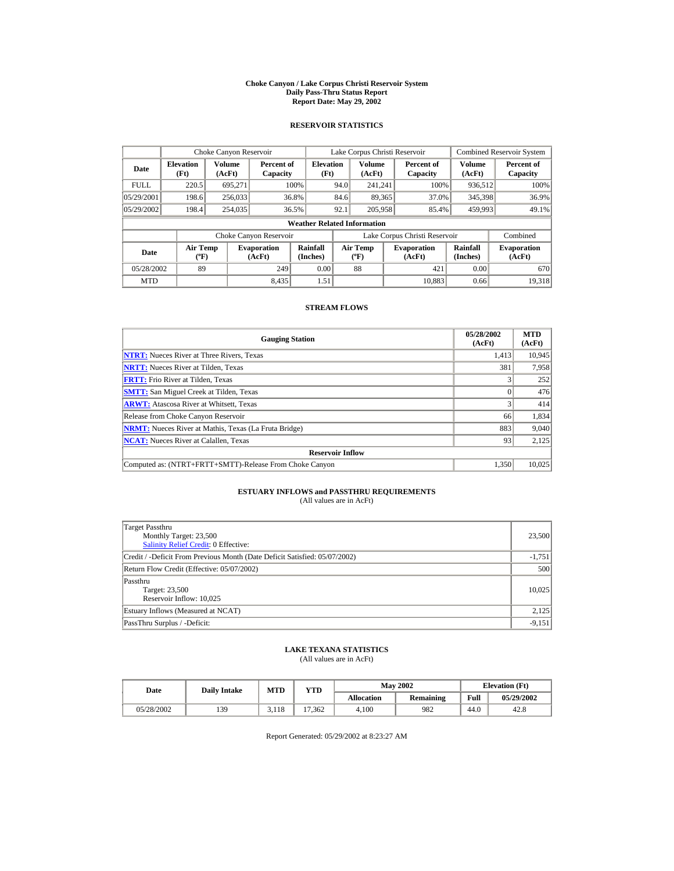#### **Choke Canyon / Lake Corpus Christi Reservoir System Daily Pass-Thru Status Report Report Date: May 29, 2002**

## **RESERVOIR STATISTICS**

|             | Choke Canyon Reservoir                      |                  |                              |                                    | Lake Corpus Christi Reservoir |                                           |  |                               |                      | Combined Reservoir System    |
|-------------|---------------------------------------------|------------------|------------------------------|------------------------------------|-------------------------------|-------------------------------------------|--|-------------------------------|----------------------|------------------------------|
| Date        | <b>Elevation</b><br>(Ft)                    | Volume<br>(AcFt) | Percent of<br>Capacity       | <b>Elevation</b><br>(Ft)           |                               | Volume<br>(AcFt)                          |  | Percent of<br>Capacity        | Volume<br>(AcFt)     | Percent of<br>Capacity       |
| <b>FULL</b> | 220.5                                       | 695.271          |                              | 100%                               | 94.0                          | 241.241                                   |  | 100%                          | 936,512              | 100%                         |
| 05/29/2001  | 198.6                                       | 256,033          |                              | 36.8%                              | 84.6                          | 89,365                                    |  | 37.0%                         | 345,398              | 36.9%                        |
| 05/29/2002  | 198.4                                       | 254,035          |                              | 36.5%                              | 92.1                          | 205,958                                   |  | 85.4%                         | 459.993              | 49.1%                        |
|             |                                             |                  |                              | <b>Weather Related Information</b> |                               |                                           |  |                               |                      |                              |
|             |                                             |                  | Choke Canyon Reservoir       |                                    |                               |                                           |  | Lake Corpus Christi Reservoir |                      | Combined                     |
| Date        | <b>Air Temp</b><br>$({}^{\circ}\mathrm{F})$ |                  | <b>Evaporation</b><br>(AcFt) | Rainfall<br>(Inches)               |                               | <b>Air Temp</b><br>$({}^{\circ}\text{F})$ |  | <b>Evaporation</b><br>(AcFt)  | Rainfall<br>(Inches) | <b>Evaporation</b><br>(AcFt) |
| 05/28/2002  | 89                                          |                  | 249                          | 0.00                               |                               | 88                                        |  | 421                           | 0.00                 | 670                          |
| <b>MTD</b>  |                                             |                  | 8,435                        | 1.51                               |                               |                                           |  | 10.883                        | 0.66                 | 19.318                       |

## **STREAM FLOWS**

| <b>Gauging Station</b>                                       | 05/28/2002<br>(AcFt) | <b>MTD</b><br>(AcFt) |
|--------------------------------------------------------------|----------------------|----------------------|
| <b>NTRT:</b> Nueces River at Three Rivers, Texas             | 1.413                | 10,945               |
| <b>NRTT:</b> Nueces River at Tilden, Texas                   | 381                  | 7,958                |
| <b>FRTT:</b> Frio River at Tilden, Texas                     |                      | 252                  |
| <b>SMTT:</b> San Miguel Creek at Tilden, Texas               |                      | 476                  |
| <b>ARWT:</b> Atascosa River at Whitsett, Texas               |                      | 414                  |
| Release from Choke Canyon Reservoir                          | 66                   | 1,834                |
| <b>NRMT:</b> Nueces River at Mathis, Texas (La Fruta Bridge) | 883                  | 9,040                |
| <b>NCAT:</b> Nueces River at Calallen, Texas                 | 93                   | 2,125                |
| <b>Reservoir Inflow</b>                                      |                      |                      |
| Computed as: (NTRT+FRTT+SMTT)-Release From Choke Canyon      | 1.350                | 10,025               |

# **ESTUARY INFLOWS and PASSTHRU REQUIREMENTS**<br>(All values are in AcFt)

| Target Passthru<br>Monthly Target: 23,500<br><b>Salinity Relief Credit: 0 Effective:</b> | 23,500   |
|------------------------------------------------------------------------------------------|----------|
| Credit / -Deficit From Previous Month (Date Deficit Satisfied: 05/07/2002)               | $-1,751$ |
| Return Flow Credit (Effective: 05/07/2002)                                               | 500      |
| Passthru<br>Target: 23,500<br>Reservoir Inflow: 10.025                                   | 10.025   |
| Estuary Inflows (Measured at NCAT)                                                       | 2,125    |
| PassThru Surplus / -Deficit:                                                             | $-9,151$ |

## **LAKE TEXANA STATISTICS**

(All values are in AcFt)

| Date       | <b>Daily Intake</b> | <b>MTD</b> | YTD    |                   | <b>May 2002</b>  | <b>Elevation</b> (Ft) |            |
|------------|---------------------|------------|--------|-------------------|------------------|-----------------------|------------|
|            |                     |            |        | <b>Allocation</b> | <b>Remaining</b> | Full                  | 05/29/2002 |
| 05/28/2002 | 139                 | 3.118      | 17.362 | 4.100             | 982              | 44.0                  | 42.8       |

Report Generated: 05/29/2002 at 8:23:27 AM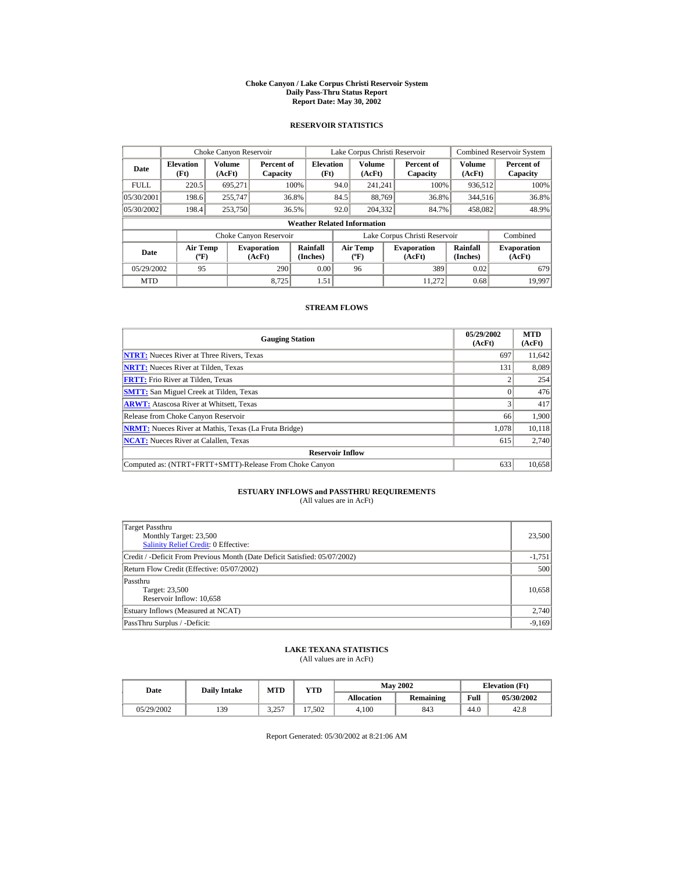#### **Choke Canyon / Lake Corpus Christi Reservoir System Daily Pass-Thru Status Report Report Date: May 30, 2002**

## **RESERVOIR STATISTICS**

|             | Choke Canyon Reservoir                |                         |                              |                                    | Lake Corpus Christi Reservoir |                                   |  |                               |                         | <b>Combined Reservoir System</b> |
|-------------|---------------------------------------|-------------------------|------------------------------|------------------------------------|-------------------------------|-----------------------------------|--|-------------------------------|-------------------------|----------------------------------|
| Date        | <b>Elevation</b><br>(Ft)              | <b>Volume</b><br>(AcFt) | Percent of<br>Capacity       | <b>Elevation</b><br>(Ft)           |                               | <b>Volume</b><br>(AcFt)           |  | Percent of<br>Capacity        | <b>Volume</b><br>(AcFt) | Percent of<br>Capacity           |
| <b>FULL</b> | 220.5                                 | 695.271                 |                              | 100%                               | 94.0                          | 241.241                           |  | 100%                          | 936,512                 | 100%                             |
| 05/30/2001  | 198.6                                 | 255,747                 |                              | 36.8%                              | 84.5                          | 88.769                            |  | 36.8%                         | 344,516                 | 36.8%                            |
| 05/30/2002  | 198.4                                 | 253,750                 |                              | 36.5%                              | 92.0                          | 204.332                           |  | 84.7%                         | 458,082                 | 48.9%                            |
|             |                                       |                         |                              | <b>Weather Related Information</b> |                               |                                   |  |                               |                         |                                  |
|             |                                       |                         | Choke Canyon Reservoir       |                                    |                               |                                   |  | Lake Corpus Christi Reservoir |                         | Combined                         |
| Date        | <b>Air Temp</b><br>$({}^o\mathrm{F})$ |                         | <b>Evaporation</b><br>(AcFt) | Rainfall<br>(Inches)               |                               | Air Temp<br>$({}^{\circ}{\rm F})$ |  | <b>Evaporation</b><br>(AcFt)  | Rainfall<br>(Inches)    | <b>Evaporation</b><br>(AcFt)     |
| 05/29/2002  | 95                                    |                         | 290                          | 0.00                               |                               | 96                                |  | 389                           | 0.02                    | 679                              |
| <b>MTD</b>  |                                       |                         | 8.725                        | 1.51                               |                               |                                   |  | 11.272                        | 0.68                    | 19.997                           |

## **STREAM FLOWS**

| <b>Gauging Station</b>                                       | 05/29/2002<br>(AcFt) | <b>MTD</b><br>(AcFt) |
|--------------------------------------------------------------|----------------------|----------------------|
| <b>NTRT:</b> Nueces River at Three Rivers, Texas             | 697                  | 11,642               |
| <b>NRTT:</b> Nueces River at Tilden, Texas                   | 131                  | 8,089                |
| <b>FRTT:</b> Frio River at Tilden, Texas                     |                      | 254                  |
| <b>SMTT:</b> San Miguel Creek at Tilden, Texas               |                      | 476                  |
| <b>ARWT:</b> Atascosa River at Whitsett, Texas               |                      | 417                  |
| Release from Choke Canyon Reservoir                          | 66                   | 1,900                |
| <b>NRMT:</b> Nueces River at Mathis, Texas (La Fruta Bridge) | 1.078                | 10.118               |
| <b>NCAT:</b> Nueces River at Calallen, Texas                 | 615                  | 2.740                |
| <b>Reservoir Inflow</b>                                      |                      |                      |
| Computed as: (NTRT+FRTT+SMTT)-Release From Choke Canyon      | 633                  | 10,658               |

# **ESTUARY INFLOWS and PASSTHRU REQUIREMENTS**<br>(All values are in AcFt)

| Target Passthru<br>Monthly Target: 23,500<br><b>Salinity Relief Credit: 0 Effective:</b> | 23,500   |
|------------------------------------------------------------------------------------------|----------|
| Credit / -Deficit From Previous Month (Date Deficit Satisfied: 05/07/2002)               | $-1,751$ |
| Return Flow Credit (Effective: 05/07/2002)                                               | 500      |
| Passthru<br>Target: 23,500<br>Reservoir Inflow: 10,658                                   | 10,658   |
| Estuary Inflows (Measured at NCAT)                                                       | 2,740    |
| PassThru Surplus / -Deficit:                                                             | $-9,169$ |

## **LAKE TEXANA STATISTICS**

(All values are in AcFt)

| Date       | <b>Daily Intake</b> | <b>MTD</b>    | YTD                     | <b>May 2002</b>   |                  | <b>Elevation</b> (Ft) |            |
|------------|---------------------|---------------|-------------------------|-------------------|------------------|-----------------------|------------|
|            |                     |               |                         | <b>Allocation</b> | <b>Remaining</b> | Full                  | 05/30/2002 |
| 05/29/2002 | 139                 | 2.25<br>ر _ _ | '.502<br>$\overline{ }$ | 4.100             | 843              | 44.0                  | 42.8       |

Report Generated: 05/30/2002 at 8:21:06 AM